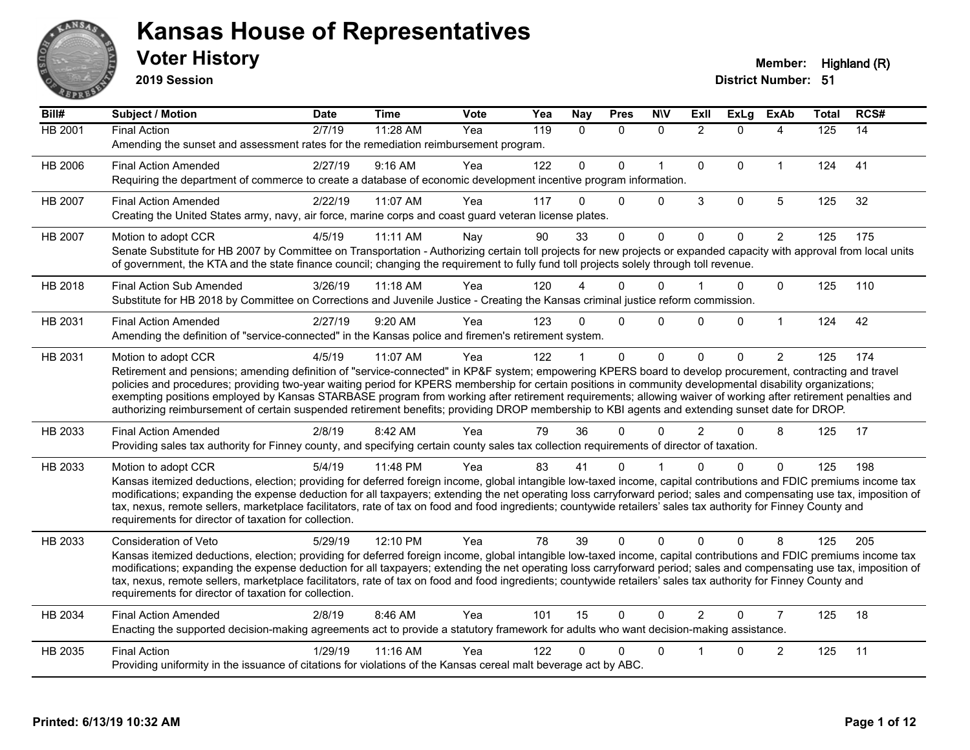

**2019 Session**

| Bill#   | Subject / Motion                                                                                                                                                                                                                                                                                                                             | <b>Date</b> | <b>Time</b> | <b>Vote</b> | Yea | Nay          | <b>Pres</b>  | <b>NIV</b>   | ExII           | <b>ExLg</b> | <b>ExAb</b>    | <b>Total</b> | RCS# |
|---------|----------------------------------------------------------------------------------------------------------------------------------------------------------------------------------------------------------------------------------------------------------------------------------------------------------------------------------------------|-------------|-------------|-------------|-----|--------------|--------------|--------------|----------------|-------------|----------------|--------------|------|
| HB 2001 | <b>Final Action</b>                                                                                                                                                                                                                                                                                                                          | 2/7/19      | 11:28 AM    | Yea         | 119 | $\mathbf{0}$ | $\mathbf{0}$ | $\Omega$     | 2              | $\Omega$    | 4              | 125          | 14   |
|         | Amending the sunset and assessment rates for the remediation reimbursement program.                                                                                                                                                                                                                                                          |             |             |             |     |              |              |              |                |             |                |              |      |
| HB 2006 | <b>Final Action Amended</b>                                                                                                                                                                                                                                                                                                                  | 2/27/19     | 9:16 AM     | Yea         | 122 | $\mathbf{0}$ | $\Omega$     | $\mathbf{1}$ | $\mathbf{0}$   | $\Omega$    | $\mathbf{1}$   | 124          | 41   |
|         | Requiring the department of commerce to create a database of economic development incentive program information.                                                                                                                                                                                                                             |             |             |             |     |              |              |              |                |             |                |              |      |
| HB 2007 | <b>Final Action Amended</b>                                                                                                                                                                                                                                                                                                                  | 2/22/19     | 11:07 AM    | Yea         | 117 | $\Omega$     | $\mathbf{0}$ | $\Omega$     | 3              | $\mathbf 0$ | $\overline{5}$ | 125          | 32   |
|         | Creating the United States army, navy, air force, marine corps and coast guard veteran license plates.                                                                                                                                                                                                                                       |             |             |             |     |              |              |              |                |             |                |              |      |
| HB 2007 | Motion to adopt CCR                                                                                                                                                                                                                                                                                                                          | 4/5/19      | 11:11 AM    | Nay         | 90  | 33           | $\Omega$     | 0            | $\mathbf 0$    | $\Omega$    | $\overline{2}$ | 125          | 175  |
|         | Senate Substitute for HB 2007 by Committee on Transportation - Authorizing certain toll projects for new projects or expanded capacity with approval from local units                                                                                                                                                                        |             |             |             |     |              |              |              |                |             |                |              |      |
|         | of government, the KTA and the state finance council; changing the requirement to fully fund toll projects solely through toll revenue.                                                                                                                                                                                                      |             |             |             |     |              |              |              |                |             |                |              |      |
| HB 2018 | <b>Final Action Sub Amended</b>                                                                                                                                                                                                                                                                                                              | 3/26/19     | $11:18$ AM  | Yea         | 120 |              | $\Omega$     | $\Omega$     |                | $\Omega$    | $\mathbf{0}$   | 125          | 110  |
|         | Substitute for HB 2018 by Committee on Corrections and Juvenile Justice - Creating the Kansas criminal justice reform commission.                                                                                                                                                                                                            |             |             |             |     |              |              |              |                |             |                |              |      |
| HB 2031 | <b>Final Action Amended</b>                                                                                                                                                                                                                                                                                                                  | 2/27/19     | 9:20 AM     | Yea         | 123 | $\Omega$     | $\Omega$     | $\Omega$     | $\Omega$       | $\Omega$    | $\mathbf{1}$   | 124          | 42   |
|         | Amending the definition of "service-connected" in the Kansas police and firemen's retirement system.                                                                                                                                                                                                                                         |             |             |             |     |              |              |              |                |             |                |              |      |
| HB 2031 | Motion to adopt CCR                                                                                                                                                                                                                                                                                                                          | 4/5/19      | 11:07 AM    | Yea         | 122 |              | $\mathbf{0}$ | $\Omega$     | $\Omega$       | $\Omega$    | $\overline{2}$ | 125          | 174  |
|         | Retirement and pensions; amending definition of "service-connected" in KP&F system; empowering KPERS board to develop procurement, contracting and travel                                                                                                                                                                                    |             |             |             |     |              |              |              |                |             |                |              |      |
|         | policies and procedures; providing two-year waiting period for KPERS membership for certain positions in community developmental disability organizations;<br>exempting positions employed by Kansas STARBASE program from working after retirement requirements; allowing waiver of working after retirement penalties and                  |             |             |             |     |              |              |              |                |             |                |              |      |
|         | authorizing reimbursement of certain suspended retirement benefits; providing DROP membership to KBI agents and extending sunset date for DROP.                                                                                                                                                                                              |             |             |             |     |              |              |              |                |             |                |              |      |
| HB 2033 | <b>Final Action Amended</b>                                                                                                                                                                                                                                                                                                                  | 2/8/19      | 8:42 AM     | Yea         | 79  | 36           | $\Omega$     | $\Omega$     | $\mathcal{P}$  | $\Omega$    | 8              | 125          | 17   |
|         | Providing sales tax authority for Finney county, and specifying certain county sales tax collection requirements of director of taxation.                                                                                                                                                                                                    |             |             |             |     |              |              |              |                |             |                |              |      |
| HB 2033 | Motion to adopt CCR                                                                                                                                                                                                                                                                                                                          | 5/4/19      | 11:48 PM    | Yea         | 83  | 41           | 0            |              |                | $\Omega$    | $\Omega$       | 125          | 198  |
|         | Kansas itemized deductions, election; providing for deferred foreign income, global intangible low-taxed income, capital contributions and FDIC premiums income tax                                                                                                                                                                          |             |             |             |     |              |              |              |                |             |                |              |      |
|         | modifications; expanding the expense deduction for all taxpayers; extending the net operating loss carryforward period; sales and compensating use tax, imposition of                                                                                                                                                                        |             |             |             |     |              |              |              |                |             |                |              |      |
|         | tax, nexus, remote sellers, marketplace facilitators, rate of tax on food and food ingredients; countywide retailers' sales tax authority for Finney County and<br>requirements for director of taxation for collection.                                                                                                                     |             |             |             |     |              |              |              |                |             |                |              |      |
|         |                                                                                                                                                                                                                                                                                                                                              |             |             |             |     |              |              |              |                |             |                |              |      |
| HB 2033 | Consideration of Veto                                                                                                                                                                                                                                                                                                                        | 5/29/19     | 12:10 PM    | Yea         | 78  | 39           | 0            | $\Omega$     | $\Omega$       | $\Omega$    | 8              | 125          | 205  |
|         | Kansas itemized deductions, election; providing for deferred foreign income, global intangible low-taxed income, capital contributions and FDIC premiums income tax<br>modifications; expanding the expense deduction for all taxpayers; extending the net operating loss carryforward period; sales and compensating use tax, imposition of |             |             |             |     |              |              |              |                |             |                |              |      |
|         | tax, nexus, remote sellers, marketplace facilitators, rate of tax on food and food ingredients; countywide retailers' sales tax authority for Finney County and                                                                                                                                                                              |             |             |             |     |              |              |              |                |             |                |              |      |
|         | requirements for director of taxation for collection.                                                                                                                                                                                                                                                                                        |             |             |             |     |              |              |              |                |             |                |              |      |
| HB 2034 | <b>Final Action Amended</b>                                                                                                                                                                                                                                                                                                                  | 2/8/19      | 8:46 AM     | Yea         | 101 | 15           | $\Omega$     | $\Omega$     | $\overline{2}$ | $\Omega$    | $\overline{7}$ | 125          | 18   |
|         | Enacting the supported decision-making agreements act to provide a statutory framework for adults who want decision-making assistance.                                                                                                                                                                                                       |             |             |             |     |              |              |              |                |             |                |              |      |
| HB 2035 | <b>Final Action</b>                                                                                                                                                                                                                                                                                                                          | 1/29/19     | 11:16 AM    | Yea         | 122 | 0            | $\Omega$     | $\mathbf{0}$ |                | 0           | $\overline{c}$ | 125          | 11   |
|         | Providing uniformity in the issuance of citations for violations of the Kansas cereal malt beverage act by ABC.                                                                                                                                                                                                                              |             |             |             |     |              |              |              |                |             |                |              |      |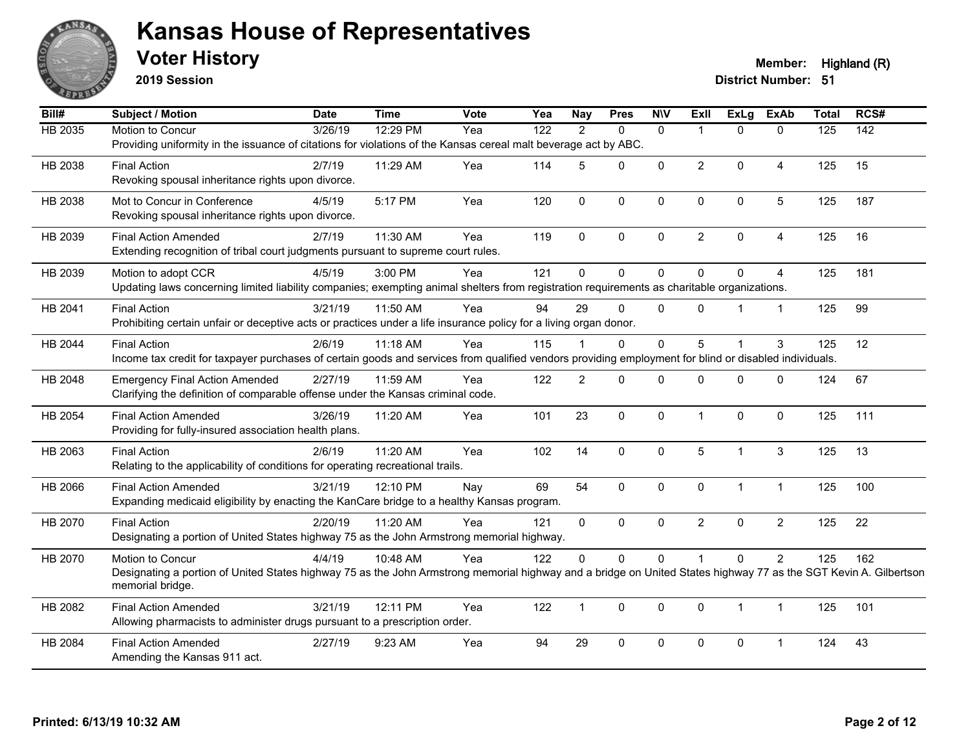

**2019 Session**

#### **Voter History Member:** Highland (R)

| Bill#   | Subject / Motion                                                                                                                                                 | <b>Date</b> | <b>Time</b> | Vote | Yea | <b>Nay</b>     | <b>Pres</b> | <b>NIV</b>   | ExIl           | ExLg         | <b>ExAb</b>    | <b>Total</b> | RCS#             |
|---------|------------------------------------------------------------------------------------------------------------------------------------------------------------------|-------------|-------------|------|-----|----------------|-------------|--------------|----------------|--------------|----------------|--------------|------------------|
| HB 2035 | Motion to Concur                                                                                                                                                 | 3/26/19     | 12:29 PM    | Yea  | 122 | $\mathcal{P}$  | $\Omega$    | $\mathbf{0}$ | $\mathbf 1$    | $\Omega$     | $\Omega$       | 125          | $\overline{142}$ |
|         | Providing uniformity in the issuance of citations for violations of the Kansas cereal malt beverage act by ABC.                                                  |             |             |      |     |                |             |              |                |              |                |              |                  |
| HB 2038 | <b>Final Action</b>                                                                                                                                              | 2/7/19      | 11:29 AM    | Yea  | 114 | 5              | $\Omega$    | $\mathbf{0}$ | $\overline{2}$ | $\mathbf{0}$ | 4              | 125          | 15               |
|         | Revoking spousal inheritance rights upon divorce.                                                                                                                |             |             |      |     |                |             |              |                |              |                |              |                  |
| HB 2038 | Mot to Concur in Conference                                                                                                                                      | 4/5/19      | 5:17 PM     | Yea  | 120 | $\mathbf 0$    | 0           | $\mathbf 0$  | $\Omega$       | 0            | 5              | 125          | 187              |
|         | Revoking spousal inheritance rights upon divorce.                                                                                                                |             |             |      |     |                |             |              |                |              |                |              |                  |
| HB 2039 | <b>Final Action Amended</b>                                                                                                                                      | 2/7/19      | 11:30 AM    | Yea  | 119 | $\Omega$       | $\Omega$    | $\mathbf 0$  | $\overline{2}$ | $\mathbf{0}$ | $\overline{4}$ | 125          | 16               |
|         | Extending recognition of tribal court judgments pursuant to supreme court rules.                                                                                 |             |             |      |     |                |             |              |                |              |                |              |                  |
| HB 2039 | Motion to adopt CCR                                                                                                                                              | 4/5/19      | 3:00 PM     | Yea  | 121 | $\Omega$       | 0           | $\mathbf 0$  | $\Omega$       | $\mathbf{0}$ | $\overline{4}$ | 125          | 181              |
|         | Updating laws concerning limited liability companies; exempting animal shelters from registration requirements as charitable organizations.                      |             |             |      |     |                |             |              |                |              |                |              |                  |
| HB 2041 | <b>Final Action</b>                                                                                                                                              | 3/21/19     | 11:50 AM    | Yea  | 94  | 29             | $\Omega$    | $\mathbf{0}$ | $\Omega$       |              | $\mathbf{1}$   | 125          | 99               |
|         | Prohibiting certain unfair or deceptive acts or practices under a life insurance policy for a living organ donor.                                                |             |             |      |     |                |             |              |                |              |                |              |                  |
| HB 2044 | <b>Final Action</b>                                                                                                                                              | 2/6/19      | 11:18 AM    | Yea  | 115 |                | 0           | $\mathbf 0$  | 5              | 1            | 3              | 125          | 12               |
|         | Income tax credit for taxpayer purchases of certain goods and services from qualified vendors providing employment for blind or disabled individuals.            |             |             |      |     |                |             |              |                |              |                |              |                  |
| HB 2048 | <b>Emergency Final Action Amended</b>                                                                                                                            | 2/27/19     | 11:59 AM    | Yea  | 122 | $\overline{2}$ | $\Omega$    | $\Omega$     | 0              | $\Omega$     | $\Omega$       | 124          | 67               |
|         | Clarifying the definition of comparable offense under the Kansas criminal code.                                                                                  |             |             |      |     |                |             |              |                |              |                |              |                  |
| HB 2054 | <b>Final Action Amended</b>                                                                                                                                      | 3/26/19     | 11:20 AM    | Yea  | 101 | 23             | $\mathbf 0$ | $\mathbf 0$  | $\mathbf{1}$   | 0            | $\mathbf 0$    | 125          | 111              |
|         | Providing for fully-insured association health plans.                                                                                                            |             |             |      |     |                |             |              |                |              |                |              |                  |
| HB 2063 | <b>Final Action</b>                                                                                                                                              | 2/6/19      | 11:20 AM    | Yea  | 102 | 14             | $\mathbf 0$ | 0            | 5              | $\mathbf 1$  | 3              | 125          | 13               |
|         | Relating to the applicability of conditions for operating recreational trails.                                                                                   |             |             |      |     |                |             |              |                |              |                |              |                  |
| HB 2066 | <b>Final Action Amended</b>                                                                                                                                      | 3/21/19     | 12:10 PM    | Nay  | 69  | 54             | $\Omega$    | $\mathbf{0}$ | $\Omega$       | $\mathbf 1$  | $\mathbf{1}$   | 125          | 100              |
|         | Expanding medicaid eligibility by enacting the KanCare bridge to a healthy Kansas program.                                                                       |             |             |      |     |                |             |              |                |              |                |              |                  |
| HB 2070 | <b>Final Action</b>                                                                                                                                              | 2/20/19     | 11:20 AM    | Yea  | 121 | $\Omega$       | 0           | $\mathbf{0}$ | $\overline{2}$ | $\mathbf 0$  | $\overline{2}$ | 125          | 22               |
|         | Designating a portion of United States highway 75 as the John Armstrong memorial highway.                                                                        |             |             |      |     |                |             |              |                |              |                |              |                  |
| HB 2070 | Motion to Concur                                                                                                                                                 | 4/4/19      | 10:48 AM    | Yea  | 122 | 0              | $\mathbf 0$ | $\pmb{0}$    |                | 0            | $\overline{2}$ | 125          | 162              |
|         | Designating a portion of United States highway 75 as the John Armstrong memorial highway and a bridge on United States highway 77 as the SGT Kevin A. Gilbertson |             |             |      |     |                |             |              |                |              |                |              |                  |
|         | memorial bridge.                                                                                                                                                 |             |             |      |     |                |             |              |                |              |                |              |                  |
| HB 2082 | <b>Final Action Amended</b>                                                                                                                                      | 3/21/19     | 12:11 PM    | Yea  | 122 | $\mathbf{1}$   | $\mathbf 0$ | $\pmb{0}$    | 0              | $\mathbf{1}$ | $\mathbf{1}$   | 125          | 101              |
|         | Allowing pharmacists to administer drugs pursuant to a prescription order.                                                                                       |             |             |      |     |                |             |              |                |              |                |              |                  |
| HB 2084 | <b>Final Action Amended</b>                                                                                                                                      | 2/27/19     | 9:23 AM     | Yea  | 94  | 29             | $\Omega$    | $\mathbf{0}$ | $\Omega$       | $\mathbf{0}$ | 1              | 124          | 43               |
|         | Amending the Kansas 911 act.                                                                                                                                     |             |             |      |     |                |             |              |                |              |                |              |                  |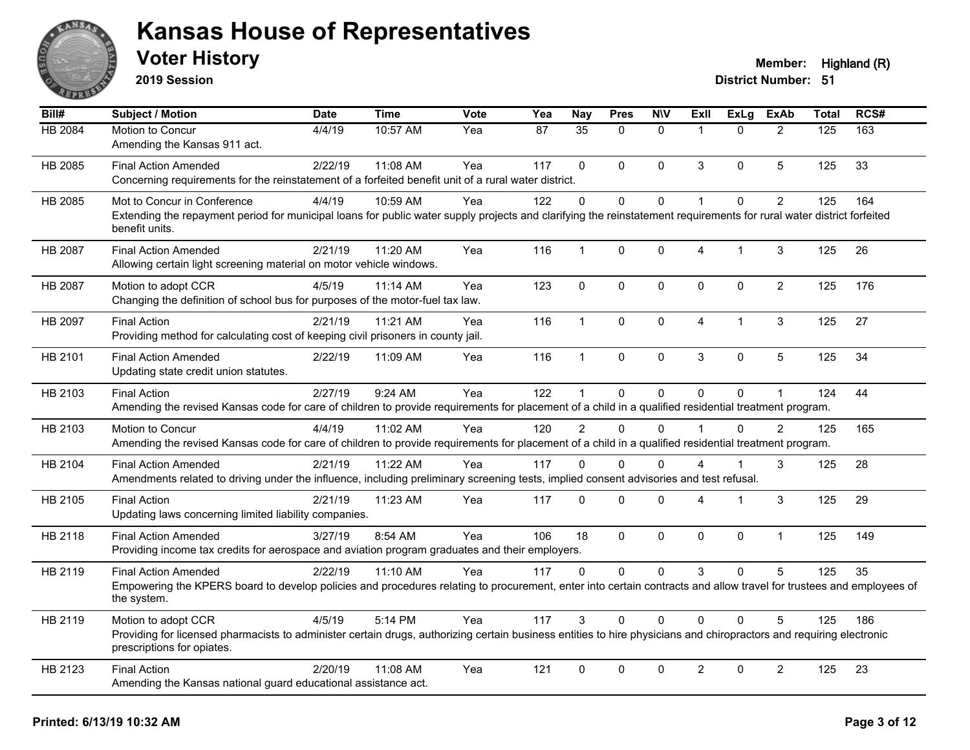

**2019 Session**

| $\overline{Bill#}$ | Subject / Motion                                                                                                                                                                                  | <b>Date</b> | Time     | <b>Vote</b> | Yea | <b>Nay</b>    | <b>Pres</b>  | <b>NIV</b>   | <b>ExII</b>          | <b>ExLg</b> | <b>ExAb</b>    | <b>Total</b> | RCS# |
|--------------------|---------------------------------------------------------------------------------------------------------------------------------------------------------------------------------------------------|-------------|----------|-------------|-----|---------------|--------------|--------------|----------------------|-------------|----------------|--------------|------|
| HB 2084            | Motion to Concur                                                                                                                                                                                  | 4/4/19      | 10:57 AM | Yea         | 87  | 35            | $\Omega$     | $\Omega$     | $\overline{1}$       | $\Omega$    | $\overline{2}$ | 125          | 163  |
|                    | Amending the Kansas 911 act.                                                                                                                                                                      |             |          |             |     |               |              |              |                      |             |                |              |      |
| HB 2085            | <b>Final Action Amended</b>                                                                                                                                                                       | 2/22/19     | 11:08 AM | Yea         | 117 | $\Omega$      | $\Omega$     | $\mathbf{0}$ | 3                    | $\Omega$    | 5              | 125          | 33   |
|                    | Concerning requirements for the reinstatement of a forfeited benefit unit of a rural water district.                                                                                              |             |          |             |     |               |              |              |                      |             |                |              |      |
| HB 2085            | Mot to Concur in Conference                                                                                                                                                                       | 4/4/19      | 10:59 AM | Yea         | 122 | $\Omega$      | $\mathbf 0$  | $\mathbf{0}$ | $\overline{1}$       | $\Omega$    | $\overline{2}$ | 125          | 164  |
|                    | Extending the repayment period for municipal loans for public water supply projects and clarifying the reinstatement requirements for rural water district forfeited<br>benefit units.            |             |          |             |     |               |              |              |                      |             |                |              |      |
| HB 2087            | <b>Final Action Amended</b>                                                                                                                                                                       | 2/21/19     | 11:20 AM | Yea         | 116 | $\mathbf{1}$  | $\mathbf 0$  | 0            | 4                    | 1           | 3              | 125          | 26   |
|                    | Allowing certain light screening material on motor vehicle windows.                                                                                                                               |             |          |             |     |               |              |              |                      |             |                |              |      |
| HB 2087            | Motion to adopt CCR                                                                                                                                                                               | 4/5/19      | 11:14 AM | Yea         | 123 | $\mathbf 0$   | $\mathbf 0$  | $\mathbf 0$  | $\mathbf{0}$         | 0           | $\overline{2}$ | 125          | 176  |
|                    | Changing the definition of school bus for purposes of the motor-fuel tax law.                                                                                                                     |             |          |             |     |               |              |              |                      |             |                |              |      |
| HB 2097            | <b>Final Action</b>                                                                                                                                                                               | 2/21/19     | 11:21 AM | Yea         | 116 | $\mathbf{1}$  | $\Omega$     | $\mathbf 0$  | $\overline{4}$       | $\mathbf 1$ | 3              | 125          | 27   |
|                    | Providing method for calculating cost of keeping civil prisoners in county jail.                                                                                                                  |             |          |             |     |               |              |              |                      |             |                |              |      |
| HB 2101            | <b>Final Action Amended</b>                                                                                                                                                                       | 2/22/19     | 11:09 AM | Yea         | 116 | $\mathbf{1}$  | $\mathbf 0$  | $\mathbf 0$  | 3                    | $\mathbf 0$ | 5              | 125          | 34   |
|                    | Updating state credit union statutes.                                                                                                                                                             |             |          |             |     |               |              |              |                      |             |                |              |      |
| HB 2103            | <b>Final Action</b>                                                                                                                                                                               | 2/27/19     | 9:24 AM  | Yea         | 122 | 1             | $\mathbf 0$  | $\mathbf 0$  | $\Omega$             | $\Omega$    | $\mathbf{1}$   | 124          | 44   |
|                    | Amending the revised Kansas code for care of children to provide requirements for placement of a child in a qualified residential treatment program.                                              |             |          |             |     |               |              |              |                      |             |                |              |      |
| HB 2103            | Motion to Concur                                                                                                                                                                                  | 4/4/19      | 11:02 AM | Yea         | 120 | $\mathcal{P}$ | $\Omega$     | $\Omega$     | $\blacktriangleleft$ | $\Omega$    | $\overline{2}$ | 125          | 165  |
|                    | Amending the revised Kansas code for care of children to provide requirements for placement of a child in a qualified residential treatment program.                                              |             |          |             |     |               |              |              |                      |             |                |              |      |
| HB 2104            | <b>Final Action Amended</b>                                                                                                                                                                       | 2/21/19     | 11:22 AM | Yea         | 117 | $\Omega$      | $\Omega$     | $\Omega$     | 4                    | 1           | 3              | 125          | 28   |
|                    | Amendments related to driving under the influence, including preliminary screening tests, implied consent advisories and test refusal.                                                            |             |          |             |     |               |              |              |                      |             |                |              |      |
| HB 2105            | <b>Final Action</b>                                                                                                                                                                               | 2/21/19     | 11:23 AM | Yea         | 117 | $\Omega$      | $\Omega$     | $\mathbf 0$  | 4                    | 1           | 3              | 125          | 29   |
|                    | Updating laws concerning limited liability companies.                                                                                                                                             |             |          |             |     |               |              |              |                      |             |                |              |      |
| HB 2118            | <b>Final Action Amended</b>                                                                                                                                                                       | 3/27/19     | 8:54 AM  | Yea         | 106 | 18            | $\Omega$     | $\mathbf{0}$ | $\Omega$             | 0           | $\mathbf{1}$   | 125          | 149  |
|                    | Providing income tax credits for aerospace and aviation program graduates and their employers.                                                                                                    |             |          |             |     |               |              |              |                      |             |                |              |      |
| HB 2119            | <b>Final Action Amended</b>                                                                                                                                                                       | 2/22/19     | 11:10 AM | Yea         | 117 | $\mathbf{0}$  | $\mathbf{0}$ | $\mathbf{0}$ | 3                    | $\Omega$    | 5              | 125          | 35   |
|                    | Empowering the KPERS board to develop policies and procedures relating to procurement, enter into certain contracts and allow travel for trustees and employees of<br>the system.                 |             |          |             |     |               |              |              |                      |             |                |              |      |
| HB 2119            | Motion to adopt CCR                                                                                                                                                                               | 4/5/19      | 5:14 PM  | Yea         | 117 | 3             | 0            | $\mathbf{0}$ | $\Omega$             | $\Omega$    | 5              | 125          | 186  |
|                    | Providing for licensed pharmacists to administer certain drugs, authorizing certain business entities to hire physicians and chiropractors and requiring electronic<br>prescriptions for opiates. |             |          |             |     |               |              |              |                      |             |                |              |      |
| HB 2123            | <b>Final Action</b>                                                                                                                                                                               | 2/20/19     | 11:08 AM | Yea         | 121 | $\mathbf{0}$  | $\Omega$     | $\mathbf{0}$ | $\overline{2}$       | $\mathbf 0$ | $\overline{2}$ | 125          | 23   |
|                    | Amending the Kansas national guard educational assistance act.                                                                                                                                    |             |          |             |     |               |              |              |                      |             |                |              |      |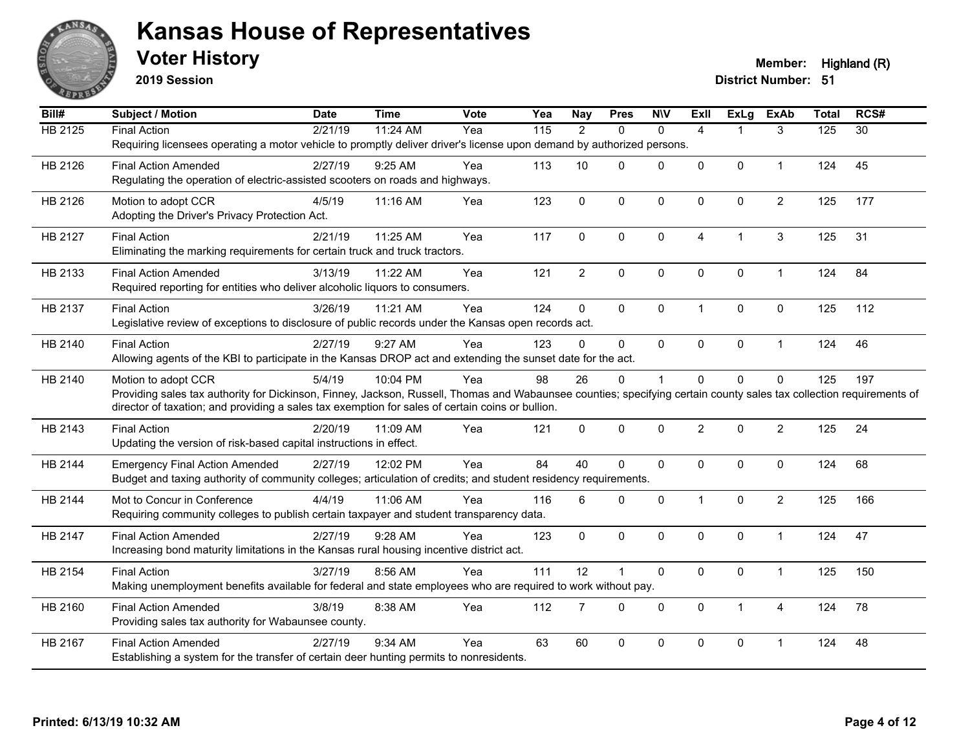

**2019 Session**

| Bill#          | <b>Subject / Motion</b>                                                                                                                                              | <b>Date</b> | <b>Time</b> | Vote | Yea | <b>Nay</b>     | <b>Pres</b>    | <b>NIV</b>   | <b>Exll</b>    | <b>ExLg</b>  | <b>ExAb</b>    | <b>Total</b> | RCS#            |
|----------------|----------------------------------------------------------------------------------------------------------------------------------------------------------------------|-------------|-------------|------|-----|----------------|----------------|--------------|----------------|--------------|----------------|--------------|-----------------|
| <b>HB 2125</b> | <b>Final Action</b>                                                                                                                                                  | 2/21/19     | 11:24 AM    | Yea  | 115 | $\overline{2}$ | $\mathbf{0}$   | $\mathbf{0}$ | $\overline{4}$ |              | 3              | 125          | $\overline{30}$ |
|                | Requiring licensees operating a motor vehicle to promptly deliver driver's license upon demand by authorized persons.                                                |             |             |      |     |                |                |              |                |              |                |              |                 |
| HB 2126        | <b>Final Action Amended</b>                                                                                                                                          | 2/27/19     | 9:25 AM     | Yea  | 113 | 10             | $\mathbf{0}$   | $\mathbf 0$  | 0              | $\mathbf 0$  | $\mathbf 1$    | 124          | 45              |
|                | Regulating the operation of electric-assisted scooters on roads and highways.                                                                                        |             |             |      |     |                |                |              |                |              |                |              |                 |
| HB 2126        | Motion to adopt CCR                                                                                                                                                  | 4/5/19      | 11:16 AM    | Yea  | 123 | $\mathbf 0$    | $\mathbf{0}$   | 0            | $\Omega$       | $\mathbf 0$  | $\overline{c}$ | 125          | 177             |
|                | Adopting the Driver's Privacy Protection Act.                                                                                                                        |             |             |      |     |                |                |              |                |              |                |              |                 |
| HB 2127        | <b>Final Action</b>                                                                                                                                                  | 2/21/19     | 11:25 AM    | Yea  | 117 | 0              | $\mathbf{0}$   | 0            | 4              | -1           | 3              | 125          | 31              |
|                | Eliminating the marking requirements for certain truck and truck tractors.                                                                                           |             |             |      |     |                |                |              |                |              |                |              |                 |
| HB 2133        | <b>Final Action Amended</b>                                                                                                                                          | 3/13/19     | 11:22 AM    | Yea  | 121 | $\overline{2}$ | $\pmb{0}$      | $\pmb{0}$    | $\mathbf 0$    | $\pmb{0}$    | $\mathbf{1}$   | 124          | 84              |
|                | Required reporting for entities who deliver alcoholic liquors to consumers.                                                                                          |             |             |      |     |                |                |              |                |              |                |              |                 |
| HB 2137        | <b>Final Action</b>                                                                                                                                                  | 3/26/19     | 11:21 AM    | Yea  | 124 | $\Omega$       | $\Omega$       | $\mathbf 0$  | 1              | $\mathbf{0}$ | $\mathbf{0}$   | 125          | 112             |
|                | Legislative review of exceptions to disclosure of public records under the Kansas open records act.                                                                  |             |             |      |     |                |                |              |                |              |                |              |                 |
| HB 2140        | <b>Final Action</b>                                                                                                                                                  | 2/27/19     | 9:27 AM     | Yea  | 123 | $\Omega$       | $\mathbf{0}$   | $\mathbf{0}$ | 0              | $\mathbf 0$  | $\mathbf{1}$   | 124          | 46              |
|                | Allowing agents of the KBI to participate in the Kansas DROP act and extending the sunset date for the act.                                                          |             |             |      |     |                |                |              |                |              |                |              |                 |
| HB 2140        | Motion to adopt CCR                                                                                                                                                  | 5/4/19      | 10:04 PM    | Yea  | 98  | 26             | $\mathbf 0$    | $\mathbf{1}$ | $\Omega$       | $\mathbf 0$  | $\mathbf 0$    | 125          | 197             |
|                | Providing sales tax authority for Dickinson, Finney, Jackson, Russell, Thomas and Wabaunsee counties; specifying certain county sales tax collection requirements of |             |             |      |     |                |                |              |                |              |                |              |                 |
|                | director of taxation; and providing a sales tax exemption for sales of certain coins or bullion.                                                                     |             |             |      |     |                |                |              |                |              |                |              |                 |
| HB 2143        | <b>Final Action</b>                                                                                                                                                  | 2/20/19     | 11:09 AM    | Yea  | 121 | $\mathbf{0}$   | $\mathbf{0}$   | $\mathbf{0}$ | $\overline{2}$ | $\Omega$     | $\overline{2}$ | 125          | 24              |
|                | Updating the version of risk-based capital instructions in effect.                                                                                                   |             |             |      |     |                |                |              |                |              |                |              |                 |
| HB 2144        | <b>Emergency Final Action Amended</b>                                                                                                                                | 2/27/19     | 12:02 PM    | Yea  | 84  | 40             | $\mathbf 0$    | $\mathbf 0$  | $\Omega$       | $\mathbf 0$  | $\mathbf 0$    | 124          | 68              |
|                | Budget and taxing authority of community colleges; articulation of credits; and student residency requirements.                                                      |             |             |      |     |                |                |              |                |              |                |              |                 |
| HB 2144        | Mot to Concur in Conference                                                                                                                                          | 4/4/19      | 11:06 AM    | Yea  | 116 | 6              | $\mathbf 0$    | $\mathbf 0$  | 1              | $\mathbf 0$  | $\overline{2}$ | 125          | 166             |
|                | Requiring community colleges to publish certain taxpayer and student transparency data.                                                                              |             |             |      |     |                |                |              |                |              |                |              |                 |
| HB 2147        | <b>Final Action Amended</b>                                                                                                                                          | 2/27/19     | 9:28 AM     | Yea  | 123 | $\Omega$       | $\mathbf{0}$   | $\mathbf{0}$ | $\Omega$       | $\Omega$     | $\mathbf{1}$   | 124          | 47              |
|                | Increasing bond maturity limitations in the Kansas rural housing incentive district act.                                                                             |             |             |      |     |                |                |              |                |              |                |              |                 |
| HB 2154        | <b>Final Action</b>                                                                                                                                                  | 3/27/19     | 8:56 AM     | Yea  | 111 | 12             | $\overline{1}$ | $\mathbf 0$  | 0              | $\mathbf 0$  | $\mathbf{1}$   | 125          | 150             |
|                | Making unemployment benefits available for federal and state employees who are required to work without pay.                                                         |             |             |      |     |                |                |              |                |              |                |              |                 |
| HB 2160        | <b>Final Action Amended</b>                                                                                                                                          | 3/8/19      | 8:38 AM     | Yea  | 112 | $\overline{7}$ | $\mathbf 0$    | $\mathbf 0$  | $\mathbf{0}$   | $\mathbf{1}$ | 4              | 124          | 78              |
|                | Providing sales tax authority for Wabaunsee county.                                                                                                                  |             |             |      |     |                |                |              |                |              |                |              |                 |
| HB 2167        | <b>Final Action Amended</b>                                                                                                                                          | 2/27/19     | 9:34 AM     | Yea  | 63  | 60             | $\mathbf{0}$   | $\Omega$     | $\Omega$       | $\mathbf 0$  | 1              | 124          | 48              |
|                | Establishing a system for the transfer of certain deer hunting permits to nonresidents.                                                                              |             |             |      |     |                |                |              |                |              |                |              |                 |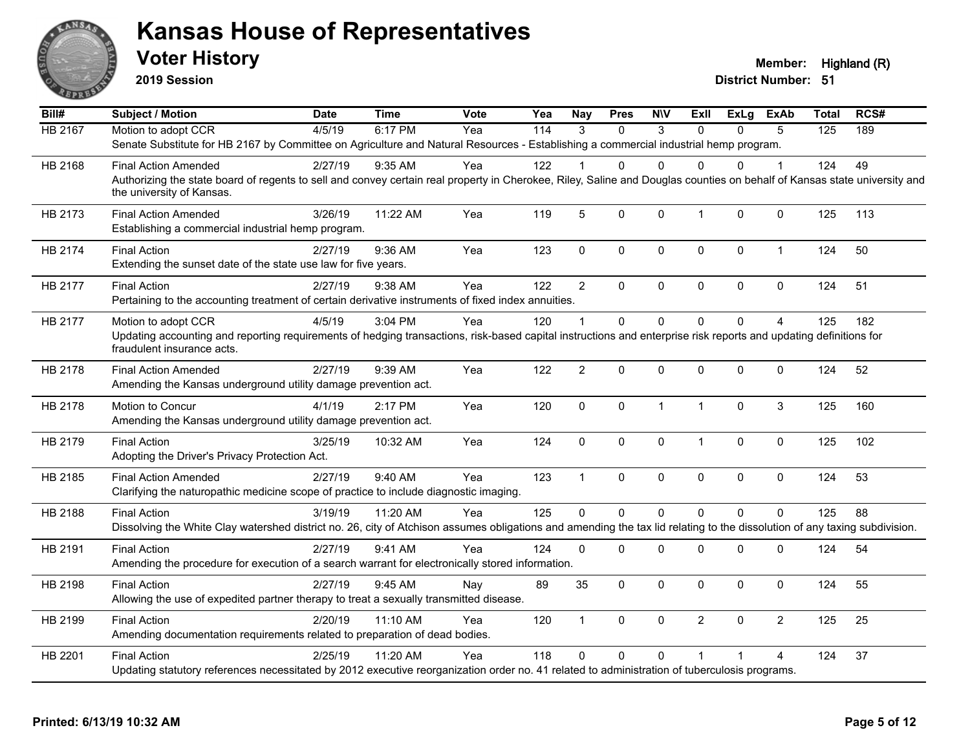

**2019 Session**

| Bill#          | <b>Subject / Motion</b>                                                                                                                                                   | <b>Date</b> | <b>Time</b> | Vote | Yea | <b>Nay</b>     | <b>Pres</b> | <b>NIV</b>   | ExII           | ExLg     | <b>ExAb</b>    | <b>Total</b> | RCS# |
|----------------|---------------------------------------------------------------------------------------------------------------------------------------------------------------------------|-------------|-------------|------|-----|----------------|-------------|--------------|----------------|----------|----------------|--------------|------|
| <b>HB 2167</b> | Motion to adopt CCR                                                                                                                                                       | 4/5/19      | 6:17 PM     | Yea  | 114 | $\mathcal{R}$  | $\Omega$    | 3            | $\Omega$       | $\Omega$ | 5              | 125          | 189  |
|                | Senate Substitute for HB 2167 by Committee on Agriculture and Natural Resources - Establishing a commercial industrial hemp program.                                      |             |             |      |     |                |             |              |                |          |                |              |      |
| HB 2168        | <b>Final Action Amended</b>                                                                                                                                               | 2/27/19     | $9:35$ AM   | Yea  | 122 |                | 0           | $\Omega$     | $\Omega$       | 0        | 1              | 124          | 49   |
|                | Authorizing the state board of regents to sell and convey certain real property in Cherokee, Riley, Saline and Douglas counties on behalf of Kansas state university and  |             |             |      |     |                |             |              |                |          |                |              |      |
|                | the university of Kansas.                                                                                                                                                 |             |             |      |     |                |             |              |                |          |                |              |      |
| HB 2173        | <b>Final Action Amended</b>                                                                                                                                               | 3/26/19     | 11:22 AM    | Yea  | 119 | 5              | 0           | $\mathbf{0}$ | $\mathbf{1}$   | $\Omega$ | $\mathbf 0$    | 125          | 113  |
|                | Establishing a commercial industrial hemp program.                                                                                                                        |             |             |      |     |                |             |              |                |          |                |              |      |
| HB 2174        | <b>Final Action</b>                                                                                                                                                       | 2/27/19     | 9:36 AM     | Yea  | 123 | $\mathbf 0$    | 0           | $\mathbf 0$  | $\mathbf 0$    | 0        | $\mathbf{1}$   | 124          | 50   |
|                | Extending the sunset date of the state use law for five years.                                                                                                            |             |             |      |     |                |             |              |                |          |                |              |      |
| HB 2177        | <b>Final Action</b>                                                                                                                                                       | 2/27/19     | 9:38 AM     | Yea  | 122 | $\overline{2}$ | $\Omega$    | $\pmb{0}$    | $\pmb{0}$      | 0        | $\mathbf 0$    | 124          | 51   |
|                | Pertaining to the accounting treatment of certain derivative instruments of fixed index annuities.                                                                        |             |             |      |     |                |             |              |                |          |                |              |      |
| HB 2177        | Motion to adopt CCR                                                                                                                                                       | 4/5/19      | 3:04 PM     | Yea  | 120 |                | 0           | $\Omega$     | $\Omega$       | $\Omega$ | $\overline{A}$ | 125          | 182  |
|                | Updating accounting and reporting requirements of hedging transactions, risk-based capital instructions and enterprise risk reports and updating definitions for          |             |             |      |     |                |             |              |                |          |                |              |      |
|                | fraudulent insurance acts.                                                                                                                                                |             |             |      |     |                |             |              |                |          |                |              |      |
| HB 2178        | <b>Final Action Amended</b>                                                                                                                                               | 2/27/19     | 9:39 AM     | Yea  | 122 | $\overline{2}$ | 0           | $\Omega$     | $\mathbf{0}$   | 0        | $\mathbf 0$    | 124          | 52   |
|                | Amending the Kansas underground utility damage prevention act.                                                                                                            |             |             |      |     |                |             |              |                |          |                |              |      |
| HB 2178        | Motion to Concur                                                                                                                                                          | 4/1/19      | 2:17 PM     | Yea  | 120 | $\Omega$       | 0           | $\mathbf{1}$ | $\mathbf{1}$   | $\Omega$ | 3              | 125          | 160  |
|                | Amending the Kansas underground utility damage prevention act.                                                                                                            |             |             |      |     |                |             |              |                |          |                |              |      |
| HB 2179        | <b>Final Action</b>                                                                                                                                                       | 3/25/19     | 10:32 AM    | Yea  | 124 | 0              | 0           | $\mathbf 0$  | $\mathbf{1}$   | 0        | $\mathbf 0$    | 125          | 102  |
|                | Adopting the Driver's Privacy Protection Act.                                                                                                                             |             |             |      |     |                |             |              |                |          |                |              |      |
| HB 2185        | <b>Final Action Amended</b>                                                                                                                                               | 2/27/19     | 9:40 AM     | Yea  | 123 | $\overline{1}$ | 0           | $\mathbf 0$  | $\mathbf 0$    | $\Omega$ | $\mathbf 0$    | 124          | 53   |
|                | Clarifying the naturopathic medicine scope of practice to include diagnostic imaging.                                                                                     |             |             |      |     |                |             |              |                |          |                |              |      |
| HB 2188        | <b>Final Action</b>                                                                                                                                                       | 3/19/19     | 11:20 AM    | Yea  | 125 | $\Omega$       | 0           | $\mathbf 0$  | $\Omega$       | $\Omega$ | $\mathbf 0$    | 125          | 88   |
|                | Dissolving the White Clay watershed district no. 26, city of Atchison assumes obligations and amending the tax lid relating to the dissolution of any taxing subdivision. |             |             |      |     |                |             |              |                |          |                |              |      |
| HB 2191        | <b>Final Action</b>                                                                                                                                                       | 2/27/19     | 9:41 AM     | Yea  | 124 | $\Omega$       | $\Omega$    | $\Omega$     | $\mathbf{0}$   | 0        | 0              | 124          | 54   |
|                | Amending the procedure for execution of a search warrant for electronically stored information.                                                                           |             |             |      |     |                |             |              |                |          |                |              |      |
| HB 2198        | <b>Final Action</b>                                                                                                                                                       | 2/27/19     | 9:45 AM     | Nay  | 89  | 35             | $\Omega$    | $\mathbf{0}$ | $\mathbf{0}$   | $\Omega$ | $\mathbf 0$    | 124          | 55   |
|                | Allowing the use of expedited partner therapy to treat a sexually transmitted disease.                                                                                    |             |             |      |     |                |             |              |                |          |                |              |      |
| HB 2199        | <b>Final Action</b>                                                                                                                                                       | 2/20/19     | $11:10$ AM  | Yea  | 120 | $\mathbf{1}$   | 0           | $\mathbf 0$  | $\overline{2}$ | $\Omega$ | $\overline{2}$ | 125          | 25   |
|                | Amending documentation requirements related to preparation of dead bodies.                                                                                                |             |             |      |     |                |             |              |                |          |                |              |      |
| HB 2201        | <b>Final Action</b>                                                                                                                                                       | 2/25/19     | 11:20 AM    | Yea  | 118 | $\Omega$       | $\Omega$    | $\Omega$     | $\overline{1}$ |          | 4              | 124          | 37   |
|                | Updating statutory references necessitated by 2012 executive reorganization order no. 41 related to administration of tuberculosis programs.                              |             |             |      |     |                |             |              |                |          |                |              |      |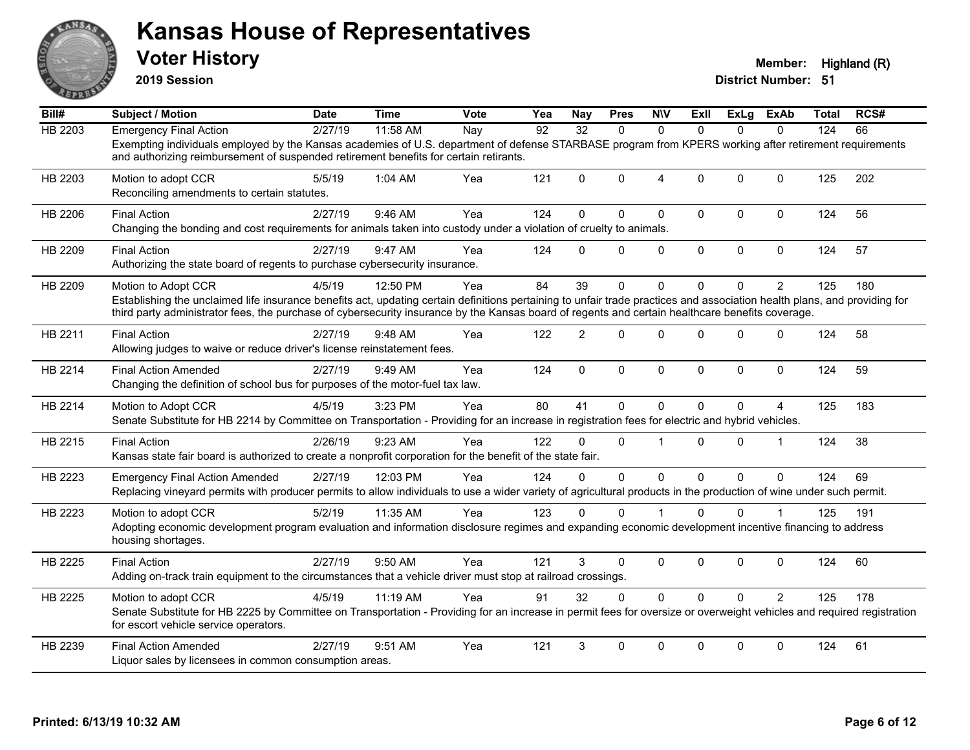

**2019 Session**

| Bill#          | <b>Subject / Motion</b>                                                                                                                                                                                                                                                                                                                              | <b>Date</b> | <b>Time</b> | <b>Vote</b>       | Yea | <b>Nay</b>      | <b>Pres</b> | <b>NIV</b>     | ExII         | <b>ExLg</b> | <b>ExAb</b>    | <b>Total</b> | RCS# |
|----------------|------------------------------------------------------------------------------------------------------------------------------------------------------------------------------------------------------------------------------------------------------------------------------------------------------------------------------------------------------|-------------|-------------|-------------------|-----|-----------------|-------------|----------------|--------------|-------------|----------------|--------------|------|
| <b>HB 2203</b> | <b>Emergency Final Action</b>                                                                                                                                                                                                                                                                                                                        | 2/27/19     | 11:58 AM    | $\overline{N}$ ay | 92  | $\overline{32}$ | $\Omega$    | $\Omega$       | $\Omega$     | $\Omega$    | $\Omega$       | 124          | 66   |
|                | Exempting individuals employed by the Kansas academies of U.S. department of defense STARBASE program from KPERS working after retirement requirements<br>and authorizing reimbursement of suspended retirement benefits for certain retirants.                                                                                                      |             |             |                   |     |                 |             |                |              |             |                |              |      |
| HB 2203        | Motion to adopt CCR<br>Reconciling amendments to certain statutes.                                                                                                                                                                                                                                                                                   | 5/5/19      | 1:04 AM     | Yea               | 121 | $\Omega$        | $\Omega$    | $\overline{4}$ | $\Omega$     | $\Omega$    | $\mathbf{0}$   | 125          | 202  |
| HB 2206        | <b>Final Action</b><br>Changing the bonding and cost requirements for animals taken into custody under a violation of cruelty to animals.                                                                                                                                                                                                            | 2/27/19     | $9:46$ AM   | Yea               | 124 | $\Omega$        | $\Omega$    | $\mathbf 0$    | $\mathbf{0}$ | 0           | $\Omega$       | 124          | 56   |
| HB 2209        | <b>Final Action</b><br>Authorizing the state board of regents to purchase cybersecurity insurance.                                                                                                                                                                                                                                                   | 2/27/19     | 9:47 AM     | Yea               | 124 | $\Omega$        | $\Omega$    | $\mathbf 0$    | $\mathbf{0}$ | $\Omega$    | $\mathbf 0$    | 124          | 57   |
| HB 2209        | Motion to Adopt CCR<br>Establishing the unclaimed life insurance benefits act, updating certain definitions pertaining to unfair trade practices and association health plans, and providing for<br>third party administrator fees, the purchase of cybersecurity insurance by the Kansas board of regents and certain healthcare benefits coverage. | 4/5/19      | 12:50 PM    | Yea               | 84  | 39              | $\Omega$    | $\Omega$       | $\Omega$     | 0           | $\overline{2}$ | 125          | 180  |
| HB 2211        | <b>Final Action</b><br>Allowing judges to waive or reduce driver's license reinstatement fees.                                                                                                                                                                                                                                                       | 2/27/19     | 9:48 AM     | Yea               | 122 | 2               | $\Omega$    | $\mathbf 0$    | $\Omega$     | $\Omega$    | $\mathbf 0$    | 124          | 58   |
| HB 2214        | <b>Final Action Amended</b><br>Changing the definition of school bus for purposes of the motor-fuel tax law.                                                                                                                                                                                                                                         | 2/27/19     | 9:49 AM     | Yea               | 124 | $\mathbf 0$     | $\mathbf 0$ | $\mathbf 0$    | $\mathbf{0}$ | 0           | $\mathbf 0$    | 124          | 59   |
| HB 2214        | Motion to Adopt CCR<br>Senate Substitute for HB 2214 by Committee on Transportation - Providing for an increase in registration fees for electric and hybrid vehicles.                                                                                                                                                                               | 4/5/19      | 3:23 PM     | Yea               | 80  | 41              | 0           | $\mathbf 0$    | $\Omega$     | $\Omega$    | 4              | 125          | 183  |
| HB 2215        | <b>Final Action</b><br>Kansas state fair board is authorized to create a nonprofit corporation for the benefit of the state fair.                                                                                                                                                                                                                    | 2/26/19     | 9:23 AM     | Yea               | 122 | $\Omega$        | $\Omega$    |                | $\Omega$     | $\Omega$    | $\mathbf{1}$   | 124          | 38   |
| HB 2223        | <b>Emergency Final Action Amended</b><br>Replacing vineyard permits with producer permits to allow individuals to use a wider variety of agricultural products in the production of wine under such permit.                                                                                                                                          | 2/27/19     | 12:03 PM    | Yea               | 124 | $\Omega$        | $\Omega$    | $\Omega$       | $\Omega$     | $\Omega$    | $\Omega$       | 124          | 69   |
| HB 2223        | Motion to adopt CCR<br>Adopting economic development program evaluation and information disclosure regimes and expanding economic development incentive financing to address<br>housing shortages.                                                                                                                                                   | 5/2/19      | 11:35 AM    | Yea               | 123 | $\Omega$        | $\Omega$    |                | $\Omega$     | $\Omega$    |                | 125          | 191  |
| HB 2225        | <b>Final Action</b><br>Adding on-track train equipment to the circumstances that a vehicle driver must stop at railroad crossings.                                                                                                                                                                                                                   | 2/27/19     | 9:50 AM     | Yea               | 121 | 3               | $\Omega$    | $\pmb{0}$      | $\mathbf{0}$ | $\Omega$    | $\mathbf 0$    | 124          | 60   |
| HB 2225        | Motion to adopt CCR<br>Senate Substitute for HB 2225 by Committee on Transportation - Providing for an increase in permit fees for oversize or overweight vehicles and required registration<br>for escort vehicle service operators.                                                                                                                | 4/5/19      | 11:19 AM    | Yea               | 91  | 32              | $\Omega$    | $\mathbf 0$    | $\Omega$     | $\Omega$    | $\overline{2}$ | 125          | 178  |
| HB 2239        | <b>Final Action Amended</b><br>Liquor sales by licensees in common consumption areas.                                                                                                                                                                                                                                                                | 2/27/19     | 9:51 AM     | Yea               | 121 | 3               | 0           | $\Omega$       | $\Omega$     | $\Omega$    | $\mathbf{0}$   | 124          | 61   |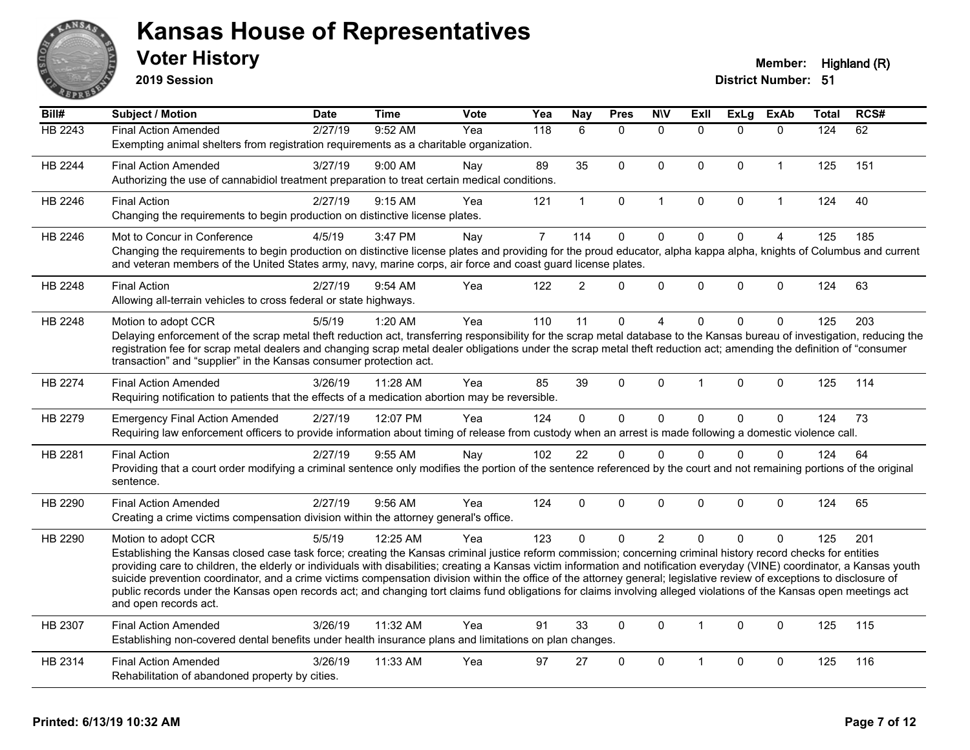

**2019 Session**

| $\overline{BiII#}$ | <b>Subject / Motion</b>                                                                                                                                                                                                                    | <b>Date</b> | <b>Time</b> | <b>Vote</b> | Yea            | <b>Nay</b>     | <b>Pres</b>  | <b>NIV</b>   | <b>ExII</b>          | <b>ExLg</b> | <b>ExAb</b>    | Total | RCS# |
|--------------------|--------------------------------------------------------------------------------------------------------------------------------------------------------------------------------------------------------------------------------------------|-------------|-------------|-------------|----------------|----------------|--------------|--------------|----------------------|-------------|----------------|-------|------|
| HB 2243            | <b>Final Action Amended</b>                                                                                                                                                                                                                | 2/27/19     | 9:52 AM     | Yea         | 118            | 6              | $\Omega$     | $\Omega$     | $\Omega$             | $\Omega$    | $\Omega$       | 124   | 62   |
|                    | Exempting animal shelters from registration requirements as a charitable organization.                                                                                                                                                     |             |             |             |                |                |              |              |                      |             |                |       |      |
| HB 2244            | <b>Final Action Amended</b>                                                                                                                                                                                                                | 3/27/19     | 9:00 AM     | Nay         | 89             | 35             | $\mathbf 0$  | $\mathbf 0$  | $\mathbf 0$          | $\mathbf 0$ | $\mathbf{1}$   | 125   | 151  |
|                    | Authorizing the use of cannabidiol treatment preparation to treat certain medical conditions.                                                                                                                                              |             |             |             |                |                |              |              |                      |             |                |       |      |
| HB 2246            | <b>Final Action</b>                                                                                                                                                                                                                        | 2/27/19     | 9:15 AM     | Yea         | 121            | $\mathbf{1}$   | $\mathbf 0$  | $\mathbf{1}$ | $\mathbf{0}$         | 0           | $\mathbf{1}$   | 124   | 40   |
|                    | Changing the requirements to begin production on distinctive license plates.                                                                                                                                                               |             |             |             |                |                |              |              |                      |             |                |       |      |
| HB 2246            | Mot to Concur in Conference                                                                                                                                                                                                                | 4/5/19      | 3:47 PM     | Nay         | $\overline{7}$ | 114            | $\mathbf 0$  | $\mathbf 0$  | $\mathbf{0}$         | $\mathbf 0$ | $\overline{4}$ | 125   | 185  |
|                    | Changing the requirements to begin production on distinctive license plates and providing for the proud educator, alpha kappa alpha, knights of Columbus and current                                                                       |             |             |             |                |                |              |              |                      |             |                |       |      |
|                    | and veteran members of the United States army, navy, marine corps, air force and coast guard license plates.                                                                                                                               |             |             |             |                |                |              |              |                      |             |                |       |      |
| HB 2248            | <b>Final Action</b>                                                                                                                                                                                                                        | 2/27/19     | 9:54 AM     | Yea         | 122            | $\overline{2}$ | $\mathbf{0}$ | $\Omega$     | $\mathbf{0}$         | $\Omega$    | $\mathbf 0$    | 124   | 63   |
|                    | Allowing all-terrain vehicles to cross federal or state highways.                                                                                                                                                                          |             |             |             |                |                |              |              |                      |             |                |       |      |
| HB 2248            | Motion to adopt CCR                                                                                                                                                                                                                        | 5/5/19      | 1:20 AM     | Yea         | 110            | 11             | $\mathbf{0}$ | 4            | $\Omega$             | $\Omega$    | $\mathbf{0}$   | 125   | 203  |
|                    | Delaying enforcement of the scrap metal theft reduction act, transferring responsibility for the scrap metal database to the Kansas bureau of investigation, reducing the                                                                  |             |             |             |                |                |              |              |                      |             |                |       |      |
|                    | registration fee for scrap metal dealers and changing scrap metal dealer obligations under the scrap metal theft reduction act; amending the definition of "consumer<br>transaction" and "supplier" in the Kansas consumer protection act. |             |             |             |                |                |              |              |                      |             |                |       |      |
| <b>HB 2274</b>     | <b>Final Action Amended</b>                                                                                                                                                                                                                | 3/26/19     | 11:28 AM    | Yea         | 85             | 39             | $\mathbf{0}$ | $\Omega$     | $\mathbf{1}$         | $\Omega$    | $\mathbf 0$    | 125   | 114  |
|                    | Requiring notification to patients that the effects of a medication abortion may be reversible.                                                                                                                                            |             |             |             |                |                |              |              |                      |             |                |       |      |
|                    |                                                                                                                                                                                                                                            |             |             |             |                |                |              |              |                      |             |                |       |      |
| HB 2279            | <b>Emergency Final Action Amended</b><br>Requiring law enforcement officers to provide information about timing of release from custody when an arrest is made following a domestic violence call.                                         | 2/27/19     | 12:07 PM    | Yea         | 124            | 0              | $\mathbf 0$  | $\mathbf 0$  | $\mathbf 0$          | 0           | $\mathbf 0$    | 124   | 73   |
|                    |                                                                                                                                                                                                                                            |             |             |             |                |                |              |              |                      |             |                |       |      |
| HB 2281            | <b>Final Action</b><br>Providing that a court order modifying a criminal sentence only modifies the portion of the sentence referenced by the court and not remaining portions of the original                                             | 2/27/19     | 9:55 AM     | Nay         | 102            | 22             | $\mathbf 0$  | $\Omega$     | $\Omega$             | $\Omega$    | $\mathbf{0}$   | 124   | 64   |
|                    | sentence.                                                                                                                                                                                                                                  |             |             |             |                |                |              |              |                      |             |                |       |      |
| HB 2290            | <b>Final Action Amended</b>                                                                                                                                                                                                                | 2/27/19     | 9:56 AM     | Yea         | 124            | $\mathbf 0$    | $\Omega$     | $\mathbf 0$  | $\Omega$             | $\Omega$    | $\mathbf{0}$   | 124   | 65   |
|                    | Creating a crime victims compensation division within the attorney general's office.                                                                                                                                                       |             |             |             |                |                |              |              |                      |             |                |       |      |
| HB 2290            |                                                                                                                                                                                                                                            | 5/5/19      | 12:25 AM    | Yea         | 123            | $\mathbf{0}$   | $\mathbf{0}$ | 2            | $\Omega$             | $\Omega$    | $\Omega$       | 125   | 201  |
|                    | Motion to adopt CCR<br>Establishing the Kansas closed case task force; creating the Kansas criminal justice reform commission; concerning criminal history record checks for entities                                                      |             |             |             |                |                |              |              |                      |             |                |       |      |
|                    | providing care to children, the elderly or individuals with disabilities; creating a Kansas victim information and notification everyday (VINE) coordinator, a Kansas youth                                                                |             |             |             |                |                |              |              |                      |             |                |       |      |
|                    | suicide prevention coordinator, and a crime victims compensation division within the office of the attorney general; legislative review of exceptions to disclosure of                                                                     |             |             |             |                |                |              |              |                      |             |                |       |      |
|                    | public records under the Kansas open records act; and changing tort claims fund obligations for claims involving alleged violations of the Kansas open meetings act<br>and open records act.                                               |             |             |             |                |                |              |              |                      |             |                |       |      |
|                    |                                                                                                                                                                                                                                            |             |             |             |                |                |              |              |                      |             |                |       |      |
| HB 2307            | <b>Final Action Amended</b><br>Establishing non-covered dental benefits under health insurance plans and limitations on plan changes.                                                                                                      | 3/26/19     | 11:32 AM    | Yea         | 91             | 33             | $\mathbf{0}$ | $\mathbf{0}$ | $\blacktriangleleft$ | $\Omega$    | $\mathbf{0}$   | 125   | 115  |
|                    |                                                                                                                                                                                                                                            |             |             |             |                |                |              |              |                      |             |                |       |      |
| HB 2314            | <b>Final Action Amended</b>                                                                                                                                                                                                                | 3/26/19     | 11:33 AM    | Yea         | 97             | 27             | $\Omega$     | $\mathbf{0}$ | 1                    | $\Omega$    | $\mathbf{0}$   | 125   | 116  |
|                    | Rehabilitation of abandoned property by cities.                                                                                                                                                                                            |             |             |             |                |                |              |              |                      |             |                |       |      |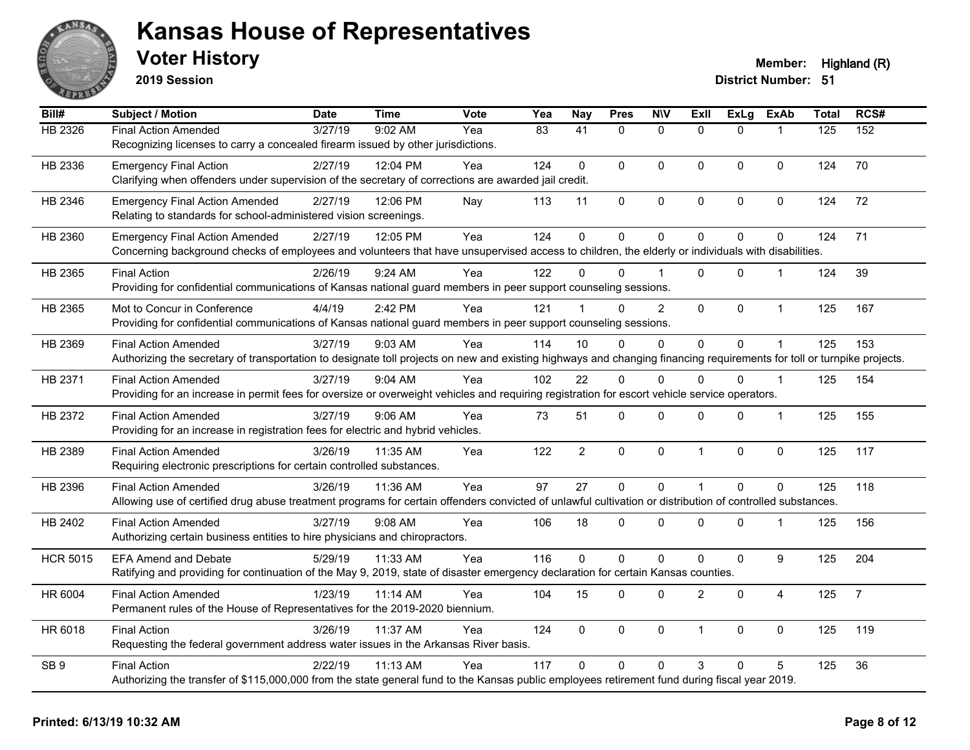

**2019 Session**

| Bill#           | <b>Subject / Motion</b>                                                                                                                                                | <b>Date</b> | <b>Time</b> | Vote | Yea | <b>Nay</b>     | <b>Pres</b>    | <b>NIV</b>     | <b>ExII</b>    | <b>ExLg</b>    | <b>ExAb</b>    | <b>Total</b> | RCS#           |
|-----------------|------------------------------------------------------------------------------------------------------------------------------------------------------------------------|-------------|-------------|------|-----|----------------|----------------|----------------|----------------|----------------|----------------|--------------|----------------|
| HB 2326         | <b>Final Action Amended</b>                                                                                                                                            | 3/27/19     | 9:02 AM     | Yea  | 83  | 41             | $\Omega$       | $\mathbf{0}$   | $\Omega$       | $\Omega$       |                | 125          | 152            |
|                 | Recognizing licenses to carry a concealed firearm issued by other jurisdictions.                                                                                       |             |             |      |     |                |                |                |                |                |                |              |                |
| HB 2336         | <b>Emergency Final Action</b>                                                                                                                                          | 2/27/19     | 12:04 PM    | Yea  | 124 | $\mathbf 0$    | $\mathbf 0$    | $\mathbf 0$    | $\mathbf 0$    | $\Omega$       | $\mathbf 0$    | 124          | 70             |
|                 | Clarifying when offenders under supervision of the secretary of corrections are awarded jail credit.                                                                   |             |             |      |     |                |                |                |                |                |                |              |                |
| HB 2346         | <b>Emergency Final Action Amended</b>                                                                                                                                  | 2/27/19     | 12:06 PM    | Nay  | 113 | 11             | $\pmb{0}$      | $\pmb{0}$      | $\mathbf 0$    | 0              | 0              | 124          | 72             |
|                 | Relating to standards for school-administered vision screenings.                                                                                                       |             |             |      |     |                |                |                |                |                |                |              |                |
| HB 2360         | <b>Emergency Final Action Amended</b>                                                                                                                                  | 2/27/19     | 12:05 PM    | Yea  | 124 | $\mathbf{0}$   | $\mathbf 0$    | $\mathbf 0$    | $\Omega$       | 0              | $\mathbf 0$    | 124          | 71             |
|                 | Concerning background checks of employees and volunteers that have unsupervised access to children, the elderly or individuals with disabilities.                      |             |             |      |     |                |                |                |                |                |                |              |                |
| HB 2365         | <b>Final Action</b>                                                                                                                                                    | 2/26/19     | 9:24 AM     | Yea  | 122 | 0              | $\Omega$       |                | $\Omega$       | $\Omega$       |                | 124          | 39             |
|                 | Providing for confidential communications of Kansas national guard members in peer support counseling sessions.                                                        |             |             |      |     |                |                |                |                |                |                |              |                |
| HB 2365         | Mot to Concur in Conference                                                                                                                                            | 4/4/19      | 2:42 PM     | Yea  | 121 |                | $\Omega$       | $\overline{2}$ | $\mathbf{0}$   | $\Omega$       | $\mathbf{1}$   | 125          | 167            |
|                 | Providing for confidential communications of Kansas national guard members in peer support counseling sessions.                                                        |             |             |      |     |                |                |                |                |                |                |              |                |
| HB 2369         | <b>Final Action Amended</b>                                                                                                                                            | 3/27/19     | 9:03 AM     | Yea  | 114 | 10             | $\Omega$       | $\mathbf 0$    | 0              | 0              |                | 125          | 153            |
|                 | Authorizing the secretary of transportation to designate toll projects on new and existing highways and changing financing requirements for toll or turnpike projects. |             |             |      |     |                |                |                |                |                |                |              |                |
| HB 2371         | <b>Final Action Amended</b>                                                                                                                                            | 3/27/19     | $9:04$ AM   | Yea  | 102 | 22             | $\Omega$       | $\Omega$       | $\Omega$       | $\Omega$       | $\overline{1}$ | 125          | 154            |
|                 | Providing for an increase in permit fees for oversize or overweight vehicles and requiring registration for escort vehicle service operators.                          |             |             |      |     |                |                |                |                |                |                |              |                |
| HB 2372         | <b>Final Action Amended</b>                                                                                                                                            | 3/27/19     | 9:06 AM     | Yea  | 73  | 51             | 0              | 0              | 0              | 0              | $\mathbf 1$    | 125          | 155            |
|                 | Providing for an increase in registration fees for electric and hybrid vehicles.                                                                                       |             |             |      |     |                |                |                |                |                |                |              |                |
| HB 2389         | <b>Final Action Amended</b>                                                                                                                                            | 3/26/19     | 11:35 AM    | Yea  | 122 | $\overline{2}$ | $\mathbf 0$    | $\mathbf 0$    | $\mathbf{1}$   | 0              | 0              | 125          | 117            |
|                 | Requiring electronic prescriptions for certain controlled substances.                                                                                                  |             |             |      |     |                |                |                |                |                |                |              |                |
| HB 2396         | <b>Final Action Amended</b>                                                                                                                                            | 3/26/19     | 11:36 AM    | Yea  | 97  | 27             | $\mathbf 0$    | $\mathbf 0$    | 1              | $\overline{0}$ | $\mathbf 0$    | 125          | 118            |
|                 | Allowing use of certified drug abuse treatment programs for certain offenders convicted of unlawful cultivation or distribution of controlled substances.              |             |             |      |     |                |                |                |                |                |                |              |                |
| HB 2402         | <b>Final Action Amended</b>                                                                                                                                            | 3/27/19     | $9:08$ AM   | Yea  | 106 | 18             | $\Omega$       | $\mathbf{0}$   | $\Omega$       | $\Omega$       | $\mathbf 1$    | 125          | 156            |
|                 | Authorizing certain business entities to hire physicians and chiropractors.                                                                                            |             |             |      |     |                |                |                |                |                |                |              |                |
| <b>HCR 5015</b> | <b>EFA Amend and Debate</b>                                                                                                                                            | 5/29/19     | 11:33 AM    | Yea  | 116 | 0              | $\overline{0}$ | $\pmb{0}$      | 0              | 0              | 9              | 125          | 204            |
|                 | Ratifying and providing for continuation of the May 9, 2019, state of disaster emergency declaration for certain Kansas counties.                                      |             |             |      |     |                |                |                |                |                |                |              |                |
| HR 6004         | <b>Final Action Amended</b>                                                                                                                                            | 1/23/19     | 11:14 AM    | Yea  | 104 | 15             | 0              | $\mathbf 0$    | $\overline{2}$ | 0              | 4              | 125          | $\overline{7}$ |
|                 | Permanent rules of the House of Representatives for the 2019-2020 biennium.                                                                                            |             |             |      |     |                |                |                |                |                |                |              |                |
| HR 6018         | <b>Final Action</b>                                                                                                                                                    | 3/26/19     | 11:37 AM    | Yea  | 124 | $\Omega$       | $\Omega$       | $\mathbf{0}$   | $\mathbf{1}$   | $\mathbf{0}$   | $\pmb{0}$      | 125          | 119            |
|                 | Requesting the federal government address water issues in the Arkansas River basis.                                                                                    |             |             |      |     |                |                |                |                |                |                |              |                |
| SB <sub>9</sub> | <b>Final Action</b>                                                                                                                                                    | 2/22/19     | 11:13 AM    | Yea  | 117 | $\Omega$       | $\Omega$       | $\mathbf{0}$   | 3              | $\Omega$       | 5              | 125          | 36             |
|                 | Authorizing the transfer of \$115,000,000 from the state general fund to the Kansas public employees retirement fund during fiscal year 2019.                          |             |             |      |     |                |                |                |                |                |                |              |                |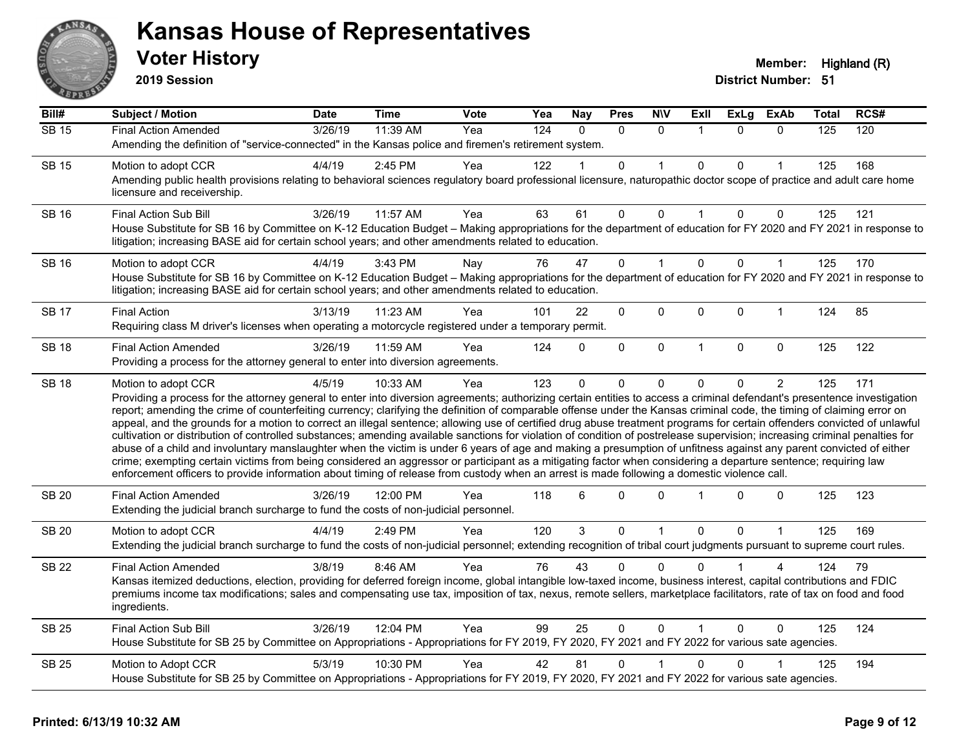

**2019 Session**

| Bill#        | <b>Subject / Motion</b>                                                                                                                                                                                                                                                                                                                                                                                                                                                                                                                                                                                                                                                                                                                                                                                                                                                                                                                                                                                                                                                                                                                                                                              | Date    | <b>Time</b> | Vote | Yea              | <b>Nay</b> | <b>Pres</b> | <b>N\V</b>   | ExII           | <b>ExLg</b> | <b>ExAb</b>  | Total | RCS# |
|--------------|------------------------------------------------------------------------------------------------------------------------------------------------------------------------------------------------------------------------------------------------------------------------------------------------------------------------------------------------------------------------------------------------------------------------------------------------------------------------------------------------------------------------------------------------------------------------------------------------------------------------------------------------------------------------------------------------------------------------------------------------------------------------------------------------------------------------------------------------------------------------------------------------------------------------------------------------------------------------------------------------------------------------------------------------------------------------------------------------------------------------------------------------------------------------------------------------------|---------|-------------|------|------------------|------------|-------------|--------------|----------------|-------------|--------------|-------|------|
| <b>SB 15</b> | <b>Final Action Amended</b>                                                                                                                                                                                                                                                                                                                                                                                                                                                                                                                                                                                                                                                                                                                                                                                                                                                                                                                                                                                                                                                                                                                                                                          | 3/26/19 | 11:39 AM    | Yea  | $\overline{124}$ | $\Omega$   | $\Omega$    | $\Omega$     |                | $\Omega$    | $\Omega$     | 125   | 120  |
|              | Amending the definition of "service-connected" in the Kansas police and firemen's retirement system.                                                                                                                                                                                                                                                                                                                                                                                                                                                                                                                                                                                                                                                                                                                                                                                                                                                                                                                                                                                                                                                                                                 |         |             |      |                  |            |             |              |                |             |              |       |      |
| <b>SB 15</b> | Motion to adopt CCR                                                                                                                                                                                                                                                                                                                                                                                                                                                                                                                                                                                                                                                                                                                                                                                                                                                                                                                                                                                                                                                                                                                                                                                  | 4/4/19  | $2:45$ PM   | Yea  | 122              |            | 0           |              | $\mathbf{0}$   | $\Omega$    |              | 125   | 168  |
|              | Amending public health provisions relating to behavioral sciences regulatory board professional licensure, naturopathic doctor scope of practice and adult care home<br>licensure and receivership.                                                                                                                                                                                                                                                                                                                                                                                                                                                                                                                                                                                                                                                                                                                                                                                                                                                                                                                                                                                                  |         |             |      |                  |            |             |              |                |             |              |       |      |
| <b>SB 16</b> | Final Action Sub Bill                                                                                                                                                                                                                                                                                                                                                                                                                                                                                                                                                                                                                                                                                                                                                                                                                                                                                                                                                                                                                                                                                                                                                                                | 3/26/19 | 11:57 AM    | Yea  | 63               | 61         | 0           | $\Omega$     |                | $\Omega$    | 0            | 125   | 121  |
|              | House Substitute for SB 16 by Committee on K-12 Education Budget - Making appropriations for the department of education for FY 2020 and FY 2021 in response to<br>litigation; increasing BASE aid for certain school years; and other amendments related to education.                                                                                                                                                                                                                                                                                                                                                                                                                                                                                                                                                                                                                                                                                                                                                                                                                                                                                                                              |         |             |      |                  |            |             |              |                |             |              |       |      |
| SB 16        | Motion to adopt CCR                                                                                                                                                                                                                                                                                                                                                                                                                                                                                                                                                                                                                                                                                                                                                                                                                                                                                                                                                                                                                                                                                                                                                                                  | 4/4/19  | 3:43 PM     | Nay  | 76               | 47         | $\Omega$    |              | $\Omega$       | $\Omega$    | 1            | 125   | 170  |
|              | House Substitute for SB 16 by Committee on K-12 Education Budget - Making appropriations for the department of education for FY 2020 and FY 2021 in response to<br>litigation; increasing BASE aid for certain school years; and other amendments related to education.                                                                                                                                                                                                                                                                                                                                                                                                                                                                                                                                                                                                                                                                                                                                                                                                                                                                                                                              |         |             |      |                  |            |             |              |                |             |              |       |      |
| <b>SB 17</b> | <b>Final Action</b>                                                                                                                                                                                                                                                                                                                                                                                                                                                                                                                                                                                                                                                                                                                                                                                                                                                                                                                                                                                                                                                                                                                                                                                  | 3/13/19 | 11:23 AM    | Yea  | 101              | 22         | 0           | 0            | $\mathbf 0$    | $\Omega$    | $\mathbf{1}$ | 124   | 85   |
|              | Requiring class M driver's licenses when operating a motorcycle registered under a temporary permit.                                                                                                                                                                                                                                                                                                                                                                                                                                                                                                                                                                                                                                                                                                                                                                                                                                                                                                                                                                                                                                                                                                 |         |             |      |                  |            |             |              |                |             |              |       |      |
| <b>SB 18</b> | <b>Final Action Amended</b>                                                                                                                                                                                                                                                                                                                                                                                                                                                                                                                                                                                                                                                                                                                                                                                                                                                                                                                                                                                                                                                                                                                                                                          | 3/26/19 | 11:59 AM    | Yea  | 124              | $\Omega$   | 0           | $\mathbf 0$  | $\overline{1}$ | $\Omega$    | $\mathbf 0$  | 125   | 122  |
|              | Providing a process for the attorney general to enter into diversion agreements.                                                                                                                                                                                                                                                                                                                                                                                                                                                                                                                                                                                                                                                                                                                                                                                                                                                                                                                                                                                                                                                                                                                     |         |             |      |                  |            |             |              |                |             |              |       |      |
| <b>SB 18</b> | Motion to adopt CCR                                                                                                                                                                                                                                                                                                                                                                                                                                                                                                                                                                                                                                                                                                                                                                                                                                                                                                                                                                                                                                                                                                                                                                                  | 4/5/19  | 10:33 AM    | Yea  | 123              | $\Omega$   | 0           | $\mathbf 0$  | $\Omega$       | $\Omega$    | 2            | 125   | 171  |
|              | Providing a process for the attorney general to enter into diversion agreements; authorizing certain entities to access a criminal defendant's presentence investigation<br>report; amending the crime of counterfeiting currency; clarifying the definition of comparable offense under the Kansas criminal code, the timing of claiming error on<br>appeal, and the grounds for a motion to correct an illegal sentence; allowing use of certified drug abuse treatment programs for certain offenders convicted of unlawful<br>cultivation or distribution of controlled substances; amending available sanctions for violation of condition of postrelease supervision; increasing criminal penalties for<br>abuse of a child and involuntary manslaughter when the victim is under 6 years of age and making a presumption of unfitness against any parent convicted of either<br>crime; exempting certain victims from being considered an aggressor or participant as a mitigating factor when considering a departure sentence; requiring law<br>enforcement officers to provide information about timing of release from custody when an arrest is made following a domestic violence call. |         |             |      |                  |            |             |              |                |             |              |       |      |
| <b>SB 20</b> | <b>Final Action Amended</b><br>Extending the judicial branch surcharge to fund the costs of non-judicial personnel.                                                                                                                                                                                                                                                                                                                                                                                                                                                                                                                                                                                                                                                                                                                                                                                                                                                                                                                                                                                                                                                                                  | 3/26/19 | 12:00 PM    | Yea  | 118              | 6          | 0           | $\Omega$     |                | $\Omega$    | 0            | 125   | 123  |
| <b>SB 20</b> | Motion to adopt CCR                                                                                                                                                                                                                                                                                                                                                                                                                                                                                                                                                                                                                                                                                                                                                                                                                                                                                                                                                                                                                                                                                                                                                                                  | 4/4/19  | 2:49 PM     | Yea  | 120              | 3          | 0           | 1            | $\Omega$       | $\Omega$    | 1            | 125   | 169  |
|              | Extending the judicial branch surcharge to fund the costs of non-judicial personnel; extending recognition of tribal court judgments pursuant to supreme court rules.                                                                                                                                                                                                                                                                                                                                                                                                                                                                                                                                                                                                                                                                                                                                                                                                                                                                                                                                                                                                                                |         |             |      |                  |            |             |              |                |             |              |       |      |
| <b>SB 22</b> | <b>Final Action Amended</b>                                                                                                                                                                                                                                                                                                                                                                                                                                                                                                                                                                                                                                                                                                                                                                                                                                                                                                                                                                                                                                                                                                                                                                          | 3/8/19  | 8:46 AM     | Yea  | 76               | 43         | 0           | $\Omega$     | $\Omega$       |             | 4            | 124   | 79   |
|              | Kansas itemized deductions, election, providing for deferred foreign income, global intangible low-taxed income, business interest, capital contributions and FDIC<br>premiums income tax modifications; sales and compensating use tax, imposition of tax, nexus, remote sellers, marketplace facilitators, rate of tax on food and food<br>ingredients.                                                                                                                                                                                                                                                                                                                                                                                                                                                                                                                                                                                                                                                                                                                                                                                                                                            |         |             |      |                  |            |             |              |                |             |              |       |      |
| <b>SB 25</b> | Final Action Sub Bill                                                                                                                                                                                                                                                                                                                                                                                                                                                                                                                                                                                                                                                                                                                                                                                                                                                                                                                                                                                                                                                                                                                                                                                | 3/26/19 | 12:04 PM    | Yea  | 99               | 25         | $\Omega$    | $\mathbf{0}$ |                | $\Omega$    | $\Omega$     | 125   | 124  |
|              | House Substitute for SB 25 by Committee on Appropriations - Appropriations for FY 2019, FY 2020, FY 2021 and FY 2022 for various sate agencies.                                                                                                                                                                                                                                                                                                                                                                                                                                                                                                                                                                                                                                                                                                                                                                                                                                                                                                                                                                                                                                                      |         |             |      |                  |            |             |              |                |             |              |       |      |
| <b>SB 25</b> | Motion to Adopt CCR                                                                                                                                                                                                                                                                                                                                                                                                                                                                                                                                                                                                                                                                                                                                                                                                                                                                                                                                                                                                                                                                                                                                                                                  | 5/3/19  | 10:30 PM    | Yea  | 42               | 81         | 0           |              | $\mathbf{0}$   | $\Omega$    |              | 125   | 194  |
|              | House Substitute for SB 25 by Committee on Appropriations - Appropriations for FY 2019, FY 2020, FY 2021 and FY 2022 for various sate agencies.                                                                                                                                                                                                                                                                                                                                                                                                                                                                                                                                                                                                                                                                                                                                                                                                                                                                                                                                                                                                                                                      |         |             |      |                  |            |             |              |                |             |              |       |      |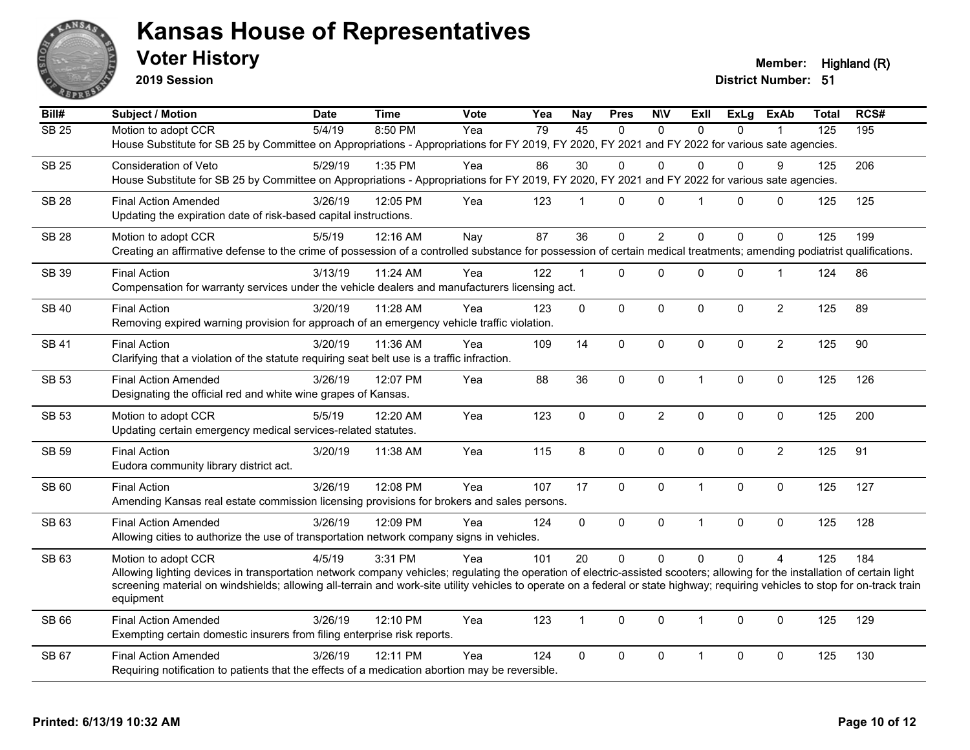

**2019 Session**

**Voter History Member:** Highland (R)

| Bill#        | <b>Subject / Motion</b>                                                                                                                                                                     | <b>Date</b> | <b>Time</b> | Vote | Yea | <b>Nay</b>   | <b>Pres</b>  | <b>N\V</b>     | <b>Exll</b>             | <b>ExLg</b>  | <b>ExAb</b>    | <b>Total</b> | RCS# |
|--------------|---------------------------------------------------------------------------------------------------------------------------------------------------------------------------------------------|-------------|-------------|------|-----|--------------|--------------|----------------|-------------------------|--------------|----------------|--------------|------|
| <b>SB 25</b> | Motion to adopt CCR                                                                                                                                                                         | 5/4/19      | 8:50 PM     | Yea  | 79  | 45           | $\mathbf{0}$ | $\mathbf{0}$   | $\Omega$                | $\Omega$     |                | 125          | 195  |
|              | House Substitute for SB 25 by Committee on Appropriations - Appropriations for FY 2019, FY 2020, FY 2021 and FY 2022 for various sate agencies.                                             |             |             |      |     |              |              |                |                         |              |                |              |      |
| <b>SB 25</b> | <b>Consideration of Veto</b>                                                                                                                                                                | 5/29/19     | 1:35 PM     | Yea  | 86  | 30           | 0            | $\Omega$       | $\Omega$                | 0            | 9              | 125          | 206  |
|              | House Substitute for SB 25 by Committee on Appropriations - Appropriations for FY 2019, FY 2020, FY 2021 and FY 2022 for various sate agencies.                                             |             |             |      |     |              |              |                |                         |              |                |              |      |
| <b>SB 28</b> | <b>Final Action Amended</b>                                                                                                                                                                 | 3/26/19     | 12:05 PM    | Yea  | 123 | $\mathbf{1}$ | $\mathbf{0}$ | $\Omega$       | $\overline{\mathbf{1}}$ | $\Omega$     | 0              | 125          | 125  |
|              | Updating the expiration date of risk-based capital instructions.                                                                                                                            |             |             |      |     |              |              |                |                         |              |                |              |      |
| <b>SB 28</b> | Motion to adopt CCR                                                                                                                                                                         | 5/5/19      | 12:16 AM    | Nay  | 87  | 36           | $\Omega$     | $\overline{2}$ | $\Omega$                | $\Omega$     | $\Omega$       | 125          | 199  |
|              | Creating an affirmative defense to the crime of possession of a controlled substance for possession of certain medical treatments; amending podiatrist qualifications.                      |             |             |      |     |              |              |                |                         |              |                |              |      |
| <b>SB 39</b> | <b>Final Action</b>                                                                                                                                                                         | 3/13/19     | 11:24 AM    | Yea  | 122 | $\mathbf{1}$ | 0            | 0              | $\mathbf{0}$            | 0            | $\mathbf 1$    | 124          | 86   |
|              | Compensation for warranty services under the vehicle dealers and manufacturers licensing act.                                                                                               |             |             |      |     |              |              |                |                         |              |                |              |      |
| <b>SB 40</b> | <b>Final Action</b>                                                                                                                                                                         | 3/20/19     | 11:28 AM    | Yea  | 123 | $\mathbf{0}$ | $\Omega$     | $\mathbf 0$    | $\mathbf 0$             | $\mathbf{0}$ | $\overline{2}$ | 125          | 89   |
|              | Removing expired warning provision for approach of an emergency vehicle traffic violation.                                                                                                  |             |             |      |     |              |              |                |                         |              |                |              |      |
| SB 41        | <b>Final Action</b>                                                                                                                                                                         | 3/20/19     | 11:36 AM    | Yea  | 109 | 14           | 0            | $\mathbf 0$    | $\mathbf{0}$            | 0            | $\overline{2}$ | 125          | 90   |
|              | Clarifying that a violation of the statute requiring seat belt use is a traffic infraction.                                                                                                 |             |             |      |     |              |              |                |                         |              |                |              |      |
| <b>SB 53</b> | <b>Final Action Amended</b>                                                                                                                                                                 | 3/26/19     | 12:07 PM    | Yea  | 88  | 36           | 0            | 0              | $\mathbf{1}$            | 0            | $\mathbf 0$    | 125          | 126  |
|              | Designating the official red and white wine grapes of Kansas.                                                                                                                               |             |             |      |     |              |              |                |                         |              |                |              |      |
| <b>SB 53</b> | Motion to adopt CCR                                                                                                                                                                         | 5/5/19      | 12:20 AM    | Yea  | 123 | $\mathbf{0}$ | $\mathbf{0}$ | $\overline{c}$ | $\pmb{0}$               | $\mathbf{0}$ | $\mathbf 0$    | 125          | 200  |
|              | Updating certain emergency medical services-related statutes.                                                                                                                               |             |             |      |     |              |              |                |                         |              |                |              |      |
| <b>SB 59</b> | <b>Final Action</b>                                                                                                                                                                         | 3/20/19     | 11:38 AM    | Yea  | 115 | 8            | 0            | $\mathbf 0$    | $\Omega$                | $\Omega$     | $\overline{2}$ | 125          | 91   |
|              | Eudora community library district act.                                                                                                                                                      |             |             |      |     |              |              |                |                         |              |                |              |      |
| SB 60        | <b>Final Action</b>                                                                                                                                                                         | 3/26/19     | 12:08 PM    | Yea  | 107 | 17           | 0            | $\mathbf 0$    | $\overline{1}$          | 0            | $\mathbf 0$    | 125          | 127  |
|              | Amending Kansas real estate commission licensing provisions for brokers and sales persons.                                                                                                  |             |             |      |     |              |              |                |                         |              |                |              |      |
| SB 63        | <b>Final Action Amended</b>                                                                                                                                                                 | 3/26/19     | 12:09 PM    | Yea  | 124 | $\mathbf 0$  | 0            | $\mathbf 0$    | $\overline{1}$          | 0            | $\mathbf 0$    | 125          | 128  |
|              | Allowing cities to authorize the use of transportation network company signs in vehicles.                                                                                                   |             |             |      |     |              |              |                |                         |              |                |              |      |
| SB 63        | Motion to adopt CCR                                                                                                                                                                         | 4/5/19      | 3:31 PM     | Yea  | 101 | 20           | $\mathbf{0}$ | $\mathbf{0}$   | $\Omega$                | $\Omega$     | $\overline{A}$ | 125          | 184  |
|              | Allowing lighting devices in transportation network company vehicles; regulating the operation of electric-assisted scooters; allowing for the installation of certain light                |             |             |      |     |              |              |                |                         |              |                |              |      |
|              | screening material on windshields; allowing all-terrain and work-site utility vehicles to operate on a federal or state highway; requiring vehicles to stop for on-track train<br>equipment |             |             |      |     |              |              |                |                         |              |                |              |      |
|              |                                                                                                                                                                                             |             |             |      |     |              |              |                |                         |              |                |              |      |
| SB 66        | <b>Final Action Amended</b>                                                                                                                                                                 | 3/26/19     | 12:10 PM    | Yea  | 123 | $\mathbf{1}$ | $\mathbf{0}$ | $\mathbf{0}$   | $\mathbf{1}$            | $\mathbf{0}$ | $\mathbf{0}$   | 125          | 129  |
|              | Exempting certain domestic insurers from filing enterprise risk reports.                                                                                                                    |             |             |      |     |              |              |                |                         |              |                |              |      |
| SB 67        | <b>Final Action Amended</b>                                                                                                                                                                 | 3/26/19     | 12:11 PM    | Yea  | 124 | $\mathbf{0}$ | $\mathbf 0$  | $\Omega$       | $\mathbf 1$             | 0            | 0              | 125          | 130  |
|              | Requiring notification to patients that the effects of a medication abortion may be reversible.                                                                                             |             |             |      |     |              |              |                |                         |              |                |              |      |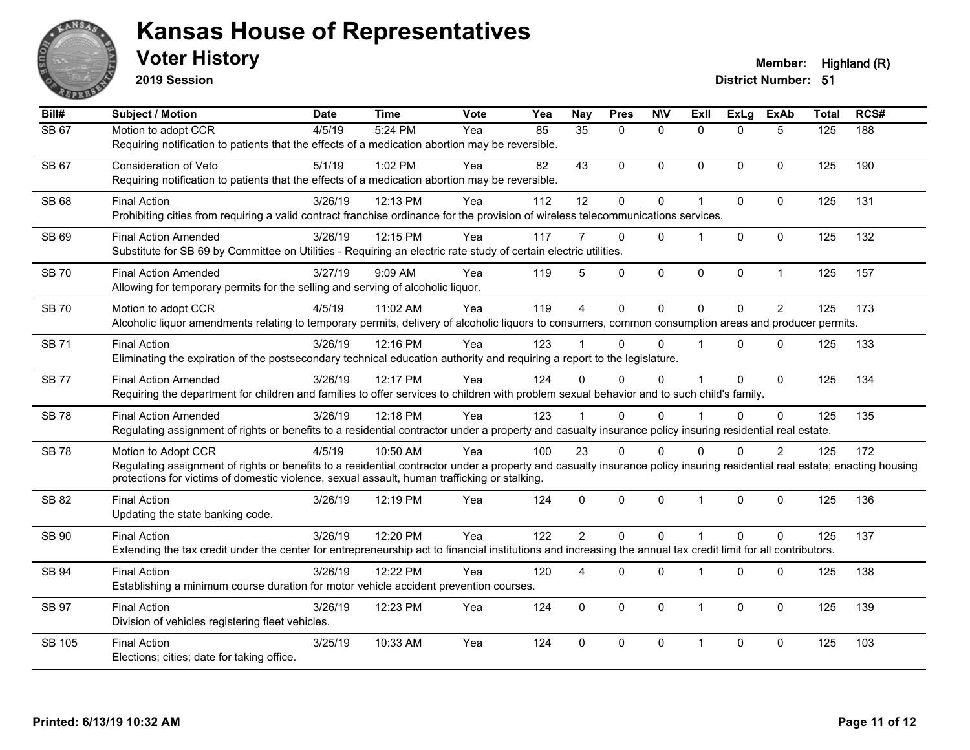

**2019 Session**

| Bill#         | <b>Subject / Motion</b>                                                                                                                                                                                                                                                                          | <b>Date</b> | <b>Time</b> | Vote | Yea | <b>Nay</b>      | <b>Pres</b>    | <b>NIV</b>   | <b>Exll</b>  | <b>ExLg</b>  | <b>ExAb</b>    | <b>Total</b> | RCS# |
|---------------|--------------------------------------------------------------------------------------------------------------------------------------------------------------------------------------------------------------------------------------------------------------------------------------------------|-------------|-------------|------|-----|-----------------|----------------|--------------|--------------|--------------|----------------|--------------|------|
| <b>SB 67</b>  | Motion to adopt CCR<br>Requiring notification to patients that the effects of a medication abortion may be reversible.                                                                                                                                                                           | 4/5/19      | 5:24 PM     | Yea  | 85  | $\overline{35}$ | $\Omega$       | $\mathbf{0}$ | $\Omega$     | $\Omega$     | 5              | 125          | 188  |
| SB 67         | Consideration of Veto<br>Requiring notification to patients that the effects of a medication abortion may be reversible.                                                                                                                                                                         | 5/1/19      | 1:02 PM     | Yea  | 82  | 43              | $\Omega$       | $\mathbf{0}$ | $\Omega$     | $\Omega$     | $\mathbf{0}$   | 125          | 190  |
| <b>SB 68</b>  | <b>Final Action</b><br>Prohibiting cities from requiring a valid contract franchise ordinance for the provision of wireless telecommunications services.                                                                                                                                         | 3/26/19     | 12:13 PM    | Yea  | 112 | 12              | 0              | $\pmb{0}$    | 1            | $\mathbf{0}$ | $\mathbf{0}$   | 125          | 131  |
| SB 69         | <b>Final Action Amended</b><br>Substitute for SB 69 by Committee on Utilities - Requiring an electric rate study of certain electric utilities.                                                                                                                                                  | 3/26/19     | 12:15 PM    | Yea  | 117 |                 | $\mathbf{0}$   | $\mathbf{0}$ |              | $\Omega$     | $\mathbf{0}$   | 125          | 132  |
| <b>SB70</b>   | <b>Final Action Amended</b><br>Allowing for temporary permits for the selling and serving of alcoholic liquor.                                                                                                                                                                                   | 3/27/19     | 9:09 AM     | Yea  | 119 | 5               | 0              | $\pmb{0}$    | 0            | $\mathbf 0$  | $\mathbf{1}$   | 125          | 157  |
| <b>SB70</b>   | Motion to adopt CCR<br>Alcoholic liquor amendments relating to temporary permits, delivery of alcoholic liquors to consumers, common consumption areas and producer permits.                                                                                                                     | 4/5/19      | 11:02 AM    | Yea  | 119 | $\overline{4}$  | $\overline{0}$ | $\mathbf 0$  | $\Omega$     | $\Omega$     | $\overline{2}$ | 125          | 173  |
| <b>SB 71</b>  | <b>Final Action</b><br>Eliminating the expiration of the postsecondary technical education authority and requiring a report to the legislature.                                                                                                                                                  | 3/26/19     | 12:16 PM    | Yea  | 123 |                 | $\Omega$       | $\Omega$     |              | $\Omega$     | $\mathbf{0}$   | 125          | 133  |
| <b>SB77</b>   | <b>Final Action Amended</b><br>Requiring the department for children and families to offer services to children with problem sexual behavior and to such child's family.                                                                                                                         | 3/26/19     | 12:17 PM    | Yea  | 124 | $\Omega$        | $\Omega$       | $\Omega$     |              | $\Omega$     | $\mathbf{0}$   | 125          | 134  |
| <b>SB78</b>   | <b>Final Action Amended</b><br>Regulating assignment of rights or benefits to a residential contractor under a property and casualty insurance policy insuring residential real estate.                                                                                                          | 3/26/19     | 12:18 PM    | Yea  | 123 |                 | $\Omega$       | $\Omega$     |              | $\Omega$     | $\Omega$       | 125          | 135  |
| <b>SB78</b>   | Motion to Adopt CCR<br>Regulating assignment of rights or benefits to a residential contractor under a property and casualty insurance policy insuring residential real estate; enacting housing<br>protections for victims of domestic violence, sexual assault, human trafficking or stalking. | 4/5/19      | 10:50 AM    | Yea  | 100 | 23              | $\Omega$       | $\Omega$     | $\Omega$     | $\Omega$     | 2              | 125          | 172  |
| SB 82         | <b>Final Action</b><br>Updating the state banking code.                                                                                                                                                                                                                                          | 3/26/19     | 12:19 PM    | Yea  | 124 | $\Omega$        | 0              | $\mathbf 0$  | $\mathbf 1$  | $\mathbf{0}$ | $\mathbf 0$    | 125          | 136  |
| SB 90         | <b>Final Action</b><br>Extending the tax credit under the center for entrepreneurship act to financial institutions and increasing the annual tax credit limit for all contributors.                                                                                                             | 3/26/19     | 12:20 PM    | Yea  | 122 | $\overline{2}$  | $\mathbf{0}$   | $\mathbf{0}$ | 1            | $\Omega$     | $\Omega$       | 125          | 137  |
| <b>SB 94</b>  | <b>Final Action</b><br>Establishing a minimum course duration for motor vehicle accident prevention courses.                                                                                                                                                                                     | 3/26/19     | 12:22 PM    | Yea  | 120 | 4               | 0              | $\pmb{0}$    | 1            | 0            | $\pmb{0}$      | 125          | 138  |
| <b>SB 97</b>  | <b>Final Action</b><br>Division of vehicles registering fleet vehicles.                                                                                                                                                                                                                          | 3/26/19     | 12:23 PM    | Yea  | 124 | $\Omega$        | $\Omega$       | $\mathbf 0$  | $\mathbf{1}$ | $\mathbf{0}$ | $\mathbf{0}$   | 125          | 139  |
| <b>SB 105</b> | <b>Final Action</b><br>Elections; cities; date for taking office.                                                                                                                                                                                                                                | 3/25/19     | 10:33 AM    | Yea  | 124 | $\Omega$        | 0              | $\mathbf 0$  | -1           | $\mathbf 0$  | $\mathbf 0$    | 125          | 103  |